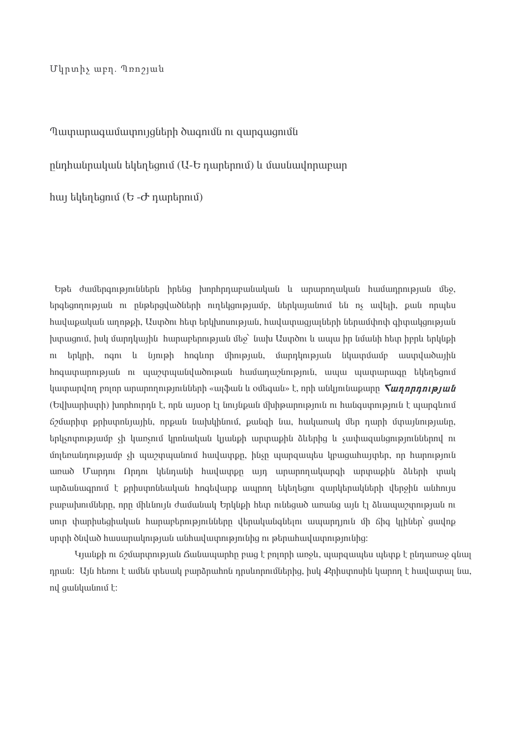Մկրտիչ աբղ. Պոոշյան

## Tuyunun wa wanani qarar hukumidi na gungu gandi

ընդհանրական եկեղեցում (U-Ե դարերում) և մասնավորաբար

 $h$ այ եկեղեցում ( $b - d$  nunերում)

Եթե ժամերգություններն իրենց խորհրդաբանական և արարողական համադրության մեջ, երգեցողության ու ընթերցվածների ուղեկցությամբ, ներկայանում են ոչ ավելի, քան որպես huuluupuuluufi umnoph. Yuundni htiin tinlihinumiojuufi, huuluunuuqjuufitinh fitinuufihnih ahinuulaniojuufi խտացում, իսկ մարդկային հարաբերության մեջ` նախ Աստծու և ապա իր նմանի հետ իբրև երկնքի ու երկրի, ոգու և նյութի հոգևոր միության, մարդկության նկատմամբ աստվածային hngwynunny uu m wywynwy aludny hawwyny huy maru ywynunau ywynunau hytantamu կատարվող բոլոր արարողությունների «այֆան և օմեգան» է, որի անկյունաբարը *Տաղորության* (Եվխարիստի) խորհուրդն է, որն այսօր էլ նույնքան մխիթարություն ու հանգստություն է պարգևում ճշմարիտ քրիստոնյային, որքան նախկինում, քանզի նա, հակառակ մեր դարի մտայնությանը, երկչոփությամբ չի կառչում կրոնական կյանքի արտաքին ձևերից և չափազանցություններով ու մոյեռանդությամբ չի պաշտպանում հավատքը, ինչը պարզապես կբացահայտեր, որ հարություն առած Մարդու Որդու կենդանի հավատքը այդ արարողակարգի արտաքին ձևերի տակ արձանագրում է բրիստոնեական հոգեվարք ապրող եկեղեցու ցարկերակների վերջին անհույս բաբախումները, որը միևնույն ժամանակ Երկնքի հետ ունեցած առանց այն էլ ձևապաշտության ու սուր փարիսեցիական հարաբերությունները վերականգնելու ապարդյուն մի ճիգ կլիներ՝ ցավոք սրտի ծնված հասարակության անհավատությունից ու թերահավատությունից։

Կյանքի ու ճշմարտության Ճանապարհը բաց է բոլորի առջև, պարզապես պետք է ընդառաջ գնալ դրան։ Այն հեռու է ամեն տեսակ բարձրահոն դրսևորումներից, իսկ Քրիստոսին կարող է հավատալ նա, nվ զանկանում է:

> Armenian Church Library http://hygradaran.weebly.com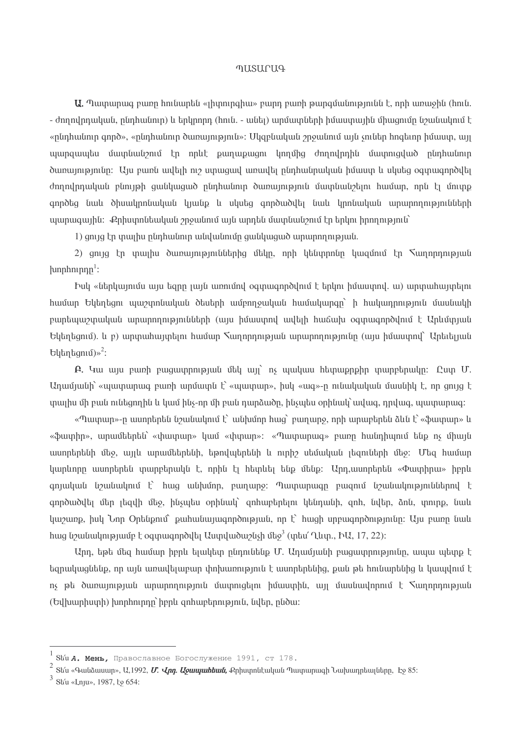#### **MUSULCUG**

 $U$ . Պատարագ բառը հունարեն «լիտուրգիա» բարդ բառի թարգմանությունն է, որի առաջին (հուն. - ժողովրդական, ընդհանուր) և երկրորդ (հուն. - անել) արմատների իմաստային միացումը նշանակում է «ընդհանուր գործ», «ընդհանուր ծառայություն»: Մկզբնական շրջանում այն չուներ հոգեւոր իմաստ, այլ պարզապես մատնանշում էր որևէ բաղաբացու կողմից ժողովրդին մատուցված ընդհանուր ծառայությունը։ Այս բառն ավելի ուշ ստացավ առավել ընդհանրական իմաստ և սկսեց օգտագործվել ժողովրդական բնույթի ցանկացած ընդհանուր ծառայություն մատնանշելու համար, որն էլ մուտք գործեց նաև ծիսակրոնական կյանք և սկսեց գործածվել նաև կրոնական արարողությունների պարագային։ Քրիստոնեական շրջանում այն արդեն մատնանշում էր երկու իրողություն`

1) ցույց էր տալիս ընդհանուր անվանումը ցանկացած արարողության.

2) ցույց էր տալիս ծառայություններից մեկը, որի կենտրոնը կազմում էր հաղորդության  $\{\text{unphn}, \text{unphn}\}$ :

bul «ներկայումս այս եզրը յայն առումով օգտագործվում է երկու իմաստով. ա) արտահայտելու huuun Եկեղեցու պաշտոնական ծեսերի ամբողջական համակարգը` ի հակադրություն մասնակի բարեպաշտական արարողությունների (այս իմաստով ավելի հաճախ օգտագործվում է Արևմտյան Եկեղեցում). և բ) արտահայտելու համար Տաղորդության արարողությունը (այս իմաստով` Արեւելյան  $\text{L}$ կեղեզում)»<sup>2</sup>:

 $\mathbf{A}$ . Կա այս բառի բացատրության մեկ այլ՝ ոչ պակաս հետաքրքիր տարբերակը։ Ըստ Մ. Unuunuun «ասարարագ բառի արմատն է՝ «պատար», իսկ «ագ»-ը ունակական մասնիկ է, որ ցույց է տալիս մի բան ունեցողին և կամ ինչ-որ մի բան դարձածը, ինչպես օրինակ՝ ավագ, դրվագ, պատարագ։

«Պատար»-ը ասորերեն նշանակում է՝ անխմոր հաց՝ բաղարջ, որի արաբերեն ձևն է՝ «ֆատար» և «ֆատիր», արամեերեն՝ «փատար» կամ «փտար»: «Պատարագ» բառը հանդիպում ենք ոչ միայն ասորերենի մեջ, այլև արամեերենի, եթովպերենի և ուրիշ սեմական լեզուների մեջ։ Մեզ համար կարևորը ասորերեն տարբերակն է, որին էլ հետևել ենք մենք։ Արդ,ասորերեն «Փատիրա» իբրև գոյական նշանակում է՝ հաց անխմոր, բաղարջ։ Պատարագը բազում նշանակություններով է գործածվել մեր լեզվի մեջ, ինչպես օրինակ՝ զոհաբերելու կենդանի, գոհ, նվեր, ձոն, տուրք, նաև  $\mu$ uzung, hul Unn Ontingnin puhutungungnongun ng t hugh unpugnong nutur. Usu punn tulu hug նշանակությամբ է օգտագործվել Աստվածաշնչի մեջ<sup>3</sup> (տես' Ղևտ., ԻԱ, 17, 22):

Արդ, եթե մեց համար իբրև ելակետ ընդունենք Մ. Ադամյանի բազատրությունը, ապա պետք է եզրակացնենք, որ այն առավելաբար փոխառություն է ասորերենից, քան թե հունարենից և կապվում է ոչ թե ծառայության արարողություն մատուցելու իմաստին, այլ մասնավորում է հաղորդության (Եվխարիստի) խորհուրդը` իբրև զոհաբերություն, նվեր, ընծա:

Stu А. Мень, Православное Богослужение 1991, ст 178.

Sե՛ս «Գանձասար», Ա,1992, *Մ. Վրդ. Աջապահեան,* Քրիստոնէական Պատարագի Նախադրեալները, Էջ 85։

Stíu «Lnu», 1987, to 654: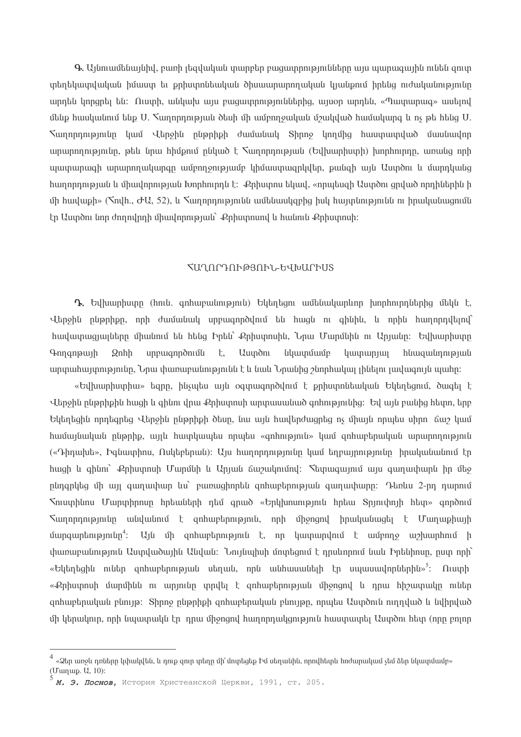$\bf{Q}$ , Այնուամենայնիվ, բառի լեզվական տարբեր բացատրությունները այս պարագային ունեն զուտ տեղեկատվական իմաստ եւ թրիստոնեական ծիսաարարողական կյանթում իրենց ուժականությունը unntili linngnti tili: Ուստի, անկախ այս բացատրություններից, այսօր արդեն, «Պատարաց» ասելով մենք հասկանում ենք U. Տաղորդության ծեսի մի ամբողջական մշակված համակարգ և ոչ թե հենց U. Տաղորդությունը կամ Վերջին ընթրիթի ժամանակ Տիրոջ կողմից հաստատված մասնավոր արարողությունը, թեև նրա հիմբում ընկած է  $\zeta$ աղորդության (Եվիսարիստի) խորհուրդը, առանց որի պատարագի արարողակարգը ամբողջությամբ կիմաստագրկվեր, քանզի այն Աստծու և մարդկանց hunnnnnnpuut u uhuulnnnpuut Ivnnhnnnnut: Phhuunnu Luuul, «nnuuluugh Uuundnu gnuud nnnhuunhu h մի հավաքի» (Nnylh., ԺԱ, 52), և Nաղորդությունն ամենասկզբից իսկ հայտնությունն ու իրականացումն էր Աստծու նոր ժողովրդի միավորության` Քրիստոսով և հանուն Քրիստոսի:

#### **ՀԱՂՈՐԴՈՒԹՅՈՒՆ-ԵՎԽԱՐԻՍՏ**

 $\mathbf{Q}$ , Եվխարիստը (hnւն, զոհաբանություն) Եկեղեցու ամենակարևոր խորհուրդներից մեկն է, Վերջին ընթրիթը, որի ժամանակ սրբագործվում են հազն ու գինին, և որին հաղորդվելով` հավատացյալները միանում են հենց Իրեն՝ Քրիստոսին, Նրա Մարմնին ու Արյանը։ Եվիարիստը  $E_{\star}$ նկատմամբ  $9$ <sub>nn</sub>q<sub>np</sub> u<sub>1</sub>h **Q**nhh unpuuqnndnuutu **Uuyon** *hununnun* huuquuunnupuuu արտահայտությունը, Նրա փառաբանությունն է և նաև Նրանից շնորհակալ լինելու լավացույն պահը։

«Եվխարիստիա» եզրը, ինչպես այն օգտագործվում է քրիստոնեական Եկեղեցում, ծագել է Վերջին ընթրիքին հացի և ցինու վրա Քրիստոսի արտասանած ցոհությունից։ Եվ այն բանից հետո, երբ Եկեղեցին որդեգրեց Վերջին ընթրիքի ծեսը, նա այն հավերժացրեց ոչ միայն որպես սիրո ճաշ կամ huuuyuuyuu pupphe, uyu huupyuuytu npuytu «qnhnipiniu» yuu qnhuuptinuyuu ununnnipiniu («Դիղախե», Իզնատիոս, Ոսկեբերան)։ Այս հաղորդությունը կամ եղբայրությունը իրականանում էր huigh և ghնու՝ Քրիստոսի Մարմնի և Արյան ճաշակումով։ Տետացայում այս ցաղափարն իր մեջ nնnanlita մի այլ գաղափար ևս` բառացիորեն զոհաբերության գաղափարը։ Դեռևս 2-րդ դարում Sniuphunu Մարտիրոսը հրեաների դեմ գրած «Երկխոսություն հրեա Sniniփnjի հետ» գործում *S*աղորդությունը անվանում է զոհաբերություն, որի միջոցով իրականացել է Մաղաքիայի մարգարեությունը<sup>4</sup>: Այն մի զոհաբերություն է, որ կատարվում է ամբողջ աշխարհում ի .<br>փառաբանություն Աստվածային Անվան: Նույնպիսի մոտեցում է դրսևորում նաև Իրենիոսը, ըստ որի՝ «Եկեղեցին ուներ զոհաբերության սեղան, որն անհասանելի էր սպասավորներին»<sup>5</sup>: Ուստի «Քրիստոսի մարմինն ու արյունը տրվել է ցոհաբերության միջոցով և դրա հիշատակը ուներ  $\alpha$ nhuptnuluulu plinija: Shnno nlipnhph qnhuptnuluulu plinijan, nnuluu Uumonili ninnuluud li lulhnuluud մի կերակուր, որի նաատակն էր որա միջոցով հաղորդակցություն հաստատել Աստծու հետ (որը բոլոր

<sup>«</sup>Ձեր առջև դռները կփակվեն, և դուք գուր տեղը մի՛ մոտեցեք Իմ սեղանին, որովհետև հոժարակամ չեմ ձեր նկատմամբ» (Uunup. U, 10):

М. Э. Поснов, История Христеанской Церкви, 1991, ст. 205.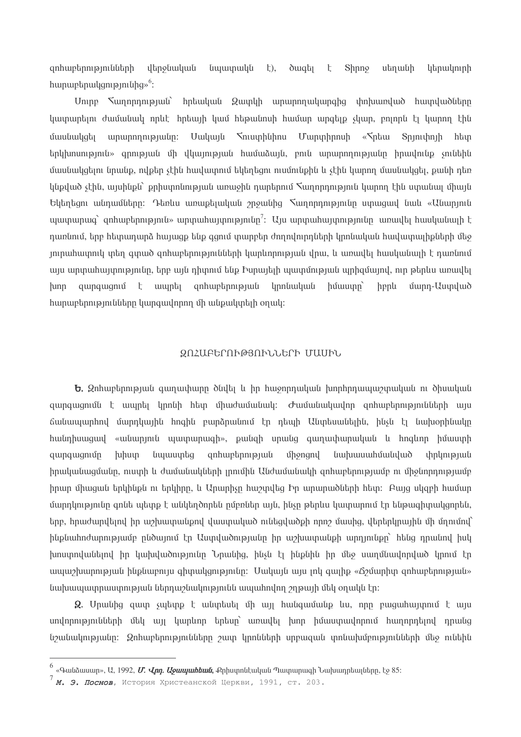գոհաբերությունների վերջնական նպատակն  $\pm$ ),  $\delta$  uq $\overline{u}$  $\mathsf{t}$ Shnng սեղանի կերակուրի hunun bulun bandan bulun  $\frac{6}{5}$ :

Unipp Suinnpinipium hibuuluu Quinlih uinunnpuluunghg ihn huunduud huunduudulan կատարելու ժամանակ որևէ հրեայի կամ հեթանոսի համար արգելք չկար, բոլորն էլ կարող էին մասնակցել արարողությանը։ Մակայն հուստինիոս Մարտիրոսի «հրեա Տրյուփոյի հետ երկխոսություն» գրության մի վկայության համաձայն, բուն արարողությանը իրավունք չունեին մասնակցելու նրանք, ովքեր չէին հավատում եկեղեցու ուսմունքին և չէին կարող մասնակցել, քանի դեռ կնքված չէին, այսինքն` քրիստոնության առաջին դարերում Տաղորդություն կարող էին ստանալ միայն  $U$ եկեղեցու անդամները։ Դեռևս առաքելական շրջանից  $\sum_{i=1}^{n}$ ադորդությունը ստացավ նաև «Անարյուն  $m$ այն արարազ՝ զոհաբերություն» արտահայտությունը<sup>7</sup>: Այս արտահայտությունը առավել հասկանայի է դառնում, երբ հետադարձ հայացք ենք գցում տարբեր ժողովուրդների կրոնական հավատալիքների մեջ յուրահատուկ տեղ գտած զոհաբերությունների կարևորության վրա, և առավել հասկանայի է դառնում այս արտահայտությունը, երբ այն դիտում ենք Իսրայելի պատմության պրիզմայով, ուր թերևս առավել quinquiquit t unique quantup quantum quantup quantup quantup quantup quantup quantup quantup quantup quantup qu մարդ-Աստված  $h$ unn  $h$ ppl humuptinnipini uting humquidinning uth uthpuluntigh on utli-

#### ԶՈՀԱԲԵՐՈՒԹՅՈՒՆՆԵՐԻ ՄԱՍԻՆ

 $\mathbf b$ . Զոհաբերության գաղափարը ծնվել և իր հաջորդական խորհրդապաշտական ու ծիսական quinquiqniu t uluinti linnuh htin unudululululululululululululululni qinhuntannipiniulutinh ulu ճանապարհով մարդկային հոգին բարձրանում էր դեպի Անտեսանելին, ինչն էլ նախօրինակը huu unguu wuu maa maanaan wuu maaan maala ku maanna huu maanna wuu maa maanna huu maa maanna huu maa quinquigniun **Juhuup** *t*iyuuuntiq qnhuptpnipjul uppngny *l*imbuuunhuululud *d*pdnput իրականացմանը, ուստի և ժամանակների լրումին Անժամանակի զոհաբերությամբ ու միջնորդությամբ իրար միազան երկինքն ու երկիրը, և Արարիչը հաշտվեց Իր արարածների հետ։ Բայց սկցբի համար մարդկությունը գոնե պետք է անկեղծորեն ըմբռներ այն, ինչը թերևս կատարում էր ենթագիտակցորեն, երբ, hրաժարվելով իր աշխատանքով վաստակած ունեցվածքի որոշ մասից, վերերկրային մի մղումով` ինքնահոժարությամբ ընծայում էր Աստվածությանը իր աշխատանքի արդյունքը` հենց դրանով իսկ խոստովանելով իր կախվածությունը Նրանից, ինչն էլ ինքնին իր մեջ սաղմնավորված կրում էր ապաշխարության ինքնաբույս գիտակցությունը: Մակայն այս յոկ գայիք «Ճշմարիտ զոհաբերության» նախապատրաստության ներդաշնակությունն ապահովող շղթայի մեկ օղակն էր։

 $\Omega$ . Unwithg quim suitinp t witintuti un un huitiquitutip lui, nnn puiquituinniu t wiju սովորությունների մեկ այլ կարևոր երեսը` առավել խոր իմաստավորում հաղորդելով դրանց նշանակությանը։ Ձոհաբերությունները շատ կրոնների սրբացան տոնախմբությունների մեջ ունեին

<sup>&</sup>lt;sup>6</sup> «Գանձասար», Ա. 1992, *Մ. Վոր. Աջաաահեան, Ք*ոիստոնէական Պատարագի Նախադրեայները, էջ 85:

 $7$  **М. Э. Поснов**, История Христеанской Церкви, 1991, ст. 203.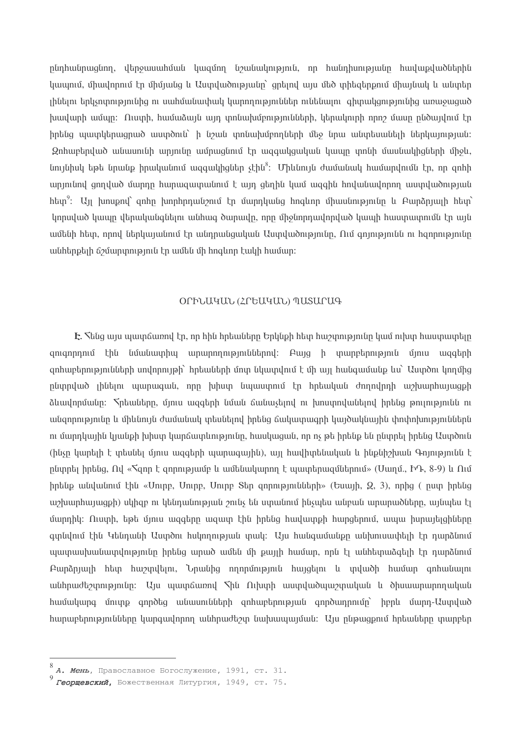ընդհանրացնող, վերջասահման կազմող նշանակություն, որ հանդիսությանը հավաքվածներին կապում, միավորում էր միմյանց և Աստվածությանը` զրեյով այս մեծ տիեցերքում միայնակ և անտեր յինելու երկչոտությունից ու սահմանափակ կարողություններ ունենայու գիտակցությունից առաջացած խավարի ամպը։ Ուստի, համաձայն այդ տոնախմբությունների, կերակուրի որոշ մասը ընծայվում էր իրենց պատկերացրած աստծուն` ի նշան տոնախմբողների մեջ նրա անտեսանելի ներկայության։ Զոհաբերված անասունի արյունը ամրացնում էր ազգակցական կապը տոնի մասնակիցների միջև, նույնիսկ եթե նրանք իրականում ազգակիցներ չէին<sup>8</sup>: Միևնույն ժամանակ համարվումն էր, որ գոհի արյունով ցողված մարդը հարազատանում է այդ ցեղին կամ ազգին հովանավորող աստվածության  $h$ եսր<sup>9</sup>: Այլ խոսքով՝ զոհը խորհրդանշում էր մարդկանց հոգևոր միասնությունը և Բարձրյայի հետ կորսված կապը վերականգնելու անհագ ծարավը, որը միջնորդավորված կապի հաստատումն էր այն ամենի հետ, որով ներկայանում էր անդրանցական Աստվածությունը, Ում գոյությունն ու հզորությունը անհերքելի ճշմարտություն էր ամեն մի հոգևոր էակի համար:

### ՕՐԻՆԱԿԱՆ (ՀՐԵԱԿԱՆ) ՊԱՏԱՐԱԳ

 $E$ . Thug այս պատճառով էր, որ hին hրեաները Երկնքի հետ հաշտությունը կամ ուխտ հաստատելը գուգորդում էին նմանատիպ արարողություններով։ Բայց ի տարբերություն մյուս ազգերի  $\alpha$  qnhuptnni pintuttah undnnni joh ntautitah unu tili undnu t t un huliquututi p lu Uundni linnung ընտրված լինելու պարագան, որը խիստ նպաստում էր հրեական ժողովրդի աշխարհայացքի ձևավորմանը։ Տրեաները, մյուս ազգերի նման ճանաչելով ու խոստովանելով իրենց թուլությունն ու անգորությունը և միևնույն ժամանակ տեսնելով իրենց ճակատագրի կայծակնային փոփոխություններն ու մարդկային կյանքի խիստ կարճատևությունը, հասկացան, որ ոչ թե իրենք են ընտրել իրենց Աստծուն (ինչը կարելի է տեսնել մյուս ազգերի պարագային), այլ հավիտենական և ինքնիշխան Գոյությունն է րնտրել իրենց, Ով «Sqnn է գորությամբ և ամենակարող է պատերազմներում» (Սաղմ., ԻԴ, 8-9) և Ում  $h$ րենք անվանում էին «Uուրբ, Uուրբ, Uուրբ Sեր զորությունների» (Եսայի, Q, 3), որից ( ըստ իրենց աշխարհայացքի) սկիզբ ու կենդանության շունչ են ստանում ինչպես անբան արարածները, այնպես էլ մարդիկ։ Ուստի, եթե մյուս ազգերը ազատ էին իրենց հավատքի հարցերում, ապա իսրայելցիները գտնվում էին Կենդանի Աստծու հսկողության տակ։ Այս հանգամանքը անխուսափելի էր դարձնում պատասխանատվությունը իրենց արած ամեն մի քայլի համար, որն էլ անհետաձգելի էր դարձնում Բարձրյայի հետ հաշտվելու, Նրանից ողորմություն հայցելու և տվածի համար գոհանալու անհրաժեշտությունը։ Այս պատճառով Տին Ուխտի աստվածպաշտական և ծիսաարարողական huuuuuna ununp anndta uuuunuututah anhuuptanupuut anndumnnun henti uunn-Uuuuluud <u>hunuptnnı pını նները կարգավորող անհրաժեշտ նախապայման։ Այս ընթացքում հրեաները տարբեր</u>

А. Мень, Православное Богослужение, 1991, ст. 31.

Георщевский, Божественная Литургия, 1949, ст. 75.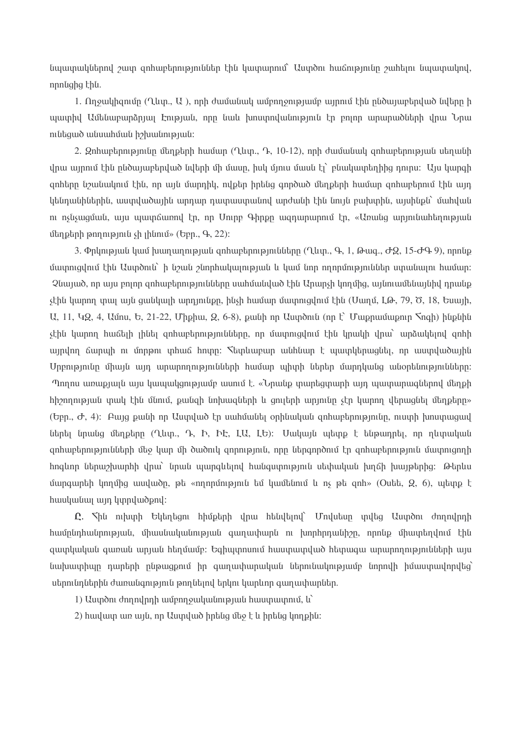նպատակներով շատ գոհաբերություններ էին կատարում` Աստծու հաճությունը շահելու նպատակով, nnnughq thu.

1. Ողջակիցումը (Ղևտ., U), որի ժամանակ ամբողջությամբ այրում էին ընծայաբերված նվերը ի պատիվ Ամենաբարձրյալ Էության, որը նաև խոստովանություն էր բոլոր արարածների վրա Նրա nı lı bayan bu bakarı bakarı bakarı bakarı bakarı bakarı bakarı bakarı bakarı bakarı bakarı bu bakarı bakarı b

2. Զոհաբերությունը մեղքերի համար (Ղևտ., Դ, 10-12), որի ժամանակ զոհաբերության սեղանի վրա այրում էին ընծայաբերված նվերի մի մասը, իսկ մյուս մասն էլ` բնակատեղիից դուրս։ Այս կարգի ցոհերը նշանակում էին, որ այն մարդիկ, ովքեր իրենց գործած մեղքերի համար ցոհաբերում էին այդ կենդանիներին, աստվածային արդար դատաստանով արժանի էին նույն բախտին, այսինքն` մահվան ու ոչնչացման, այս պատճառով էր, որ Մուրբ Գիրքը ազդարարում էր, «Առանց արյունահեղության մեղքերի թողություն չի լինում» (Եբր., Գ, 22):

3. Փրկության կամ խաղաղության զոհաբերությունները (Ղևտ., Գ, 1, Թագ., ԺԶ, 15-ԺԳ 9), որոնք մատուզվում էին Աստծուն` ի նշան շնորհակալության և կամ նոր ողորմություններ ստանալու համար։ Չնայած, որ այս բոլոր զոհաբերությունները սահմանված էին Արարչի կողմից, այնուամենայնիվ դրանք չէին կարող տալ այն ցանկալի արդյունքը, ինչի համար մատուցվում էին (Սաղմ, ԼԹ, 79, Ծ, 18, Եսայի,  $U$ , 11,  $UQ$ , 4,  $U$ մոս,  $U$ , 21-22, Միքիա,  $Q$ , 6-8), քանի որ  $U$ արծուն (որ  $\Gamma$ ) Մաքրամաքուր  $\mathcal{S}$ ոգի) ինքնին չէին կարող հաճելի լինել գոհաբերությունները, որ մատուցվում էին կրակի վրա՝ արձակելով գոհի այրվող ճարպի ու մորթու տիաճ հոտը։ Տետևաբար անհնար է պատկերազնել, որ աստվածային Մրբությունը միայն այդ արարողությունների համար պիտի ներեր մարդկանց անօրենությունները։ Պողոս առաքյայն այս կապակցությամբ ասում է. «Նրանք տարեցտարի այդ պատարագներով մեղքի hիշողության տակ էին մնում, բանցի նոխացների և ցույերի արյունը չէր կարող վերացնել մեղբերը»  $(b$ բր.,  $\sigma$ , 4): Բայց բանի որ Աստված էր սահմանել օրինական ցոհաբերությունը, ուստի խոստացավ ներել նրանց մեղքերը (Ղևտ., Դ, Ի, ԻԷ, ԼԱ, ԼԵ)։ Սակայն պետք է ենթադրել, որ ղևտական գոհաբերությունների մեջ կար մի ծածուկ գորություն, որը ներգործում էր գոհաբերություն մասրուցողի hnalınn ներաշխատիի վրա` նոան այսոցկելով իանցստություն սեփական խոճի խայթերից։ Թերկս մարգարեի կողմից ասվածը, թե «ողորմություն եմ կամենում և ոչ թե գոհ» (Outt, Q, 6), պետք է huuluuuu uun lunpludpnl:

 $\Omega$ .  $\nabla$ ին ուխտի Եկեղեցու հիմքերի վրա հենվելով` Մովսեսը տվեց Աստծու ժողովրդի իամընդհանրության, միասնականության գաղափարն ու խորհրդանիշը, որոնք միատեղվում էին զատկական գառան արյան հեղմամբ։ Եգիպտոսում հաստատված հետագա արարողությունների այս նախատիպը դարերի ընթացքում իր գաղափարական ներունակությամբ նորովի իմաստավորվեց՝ սերունդներին ժառանգություն թողնելով երկու կարևոր գաղափարներ.

1) Uuundni dnn nulnn h uun mouuluun tanan uu huuun uunni u

2) huuluun uin uifu, nn Uuunluid hintug uto t li hintug linn phu: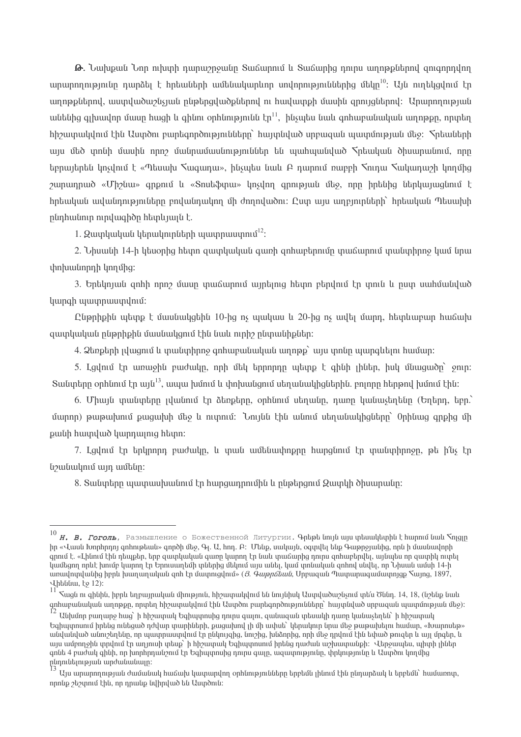**G.** Նախքան Նոր ուխտի դարաշրջանը Տաճարում և Տաճարից դուրս աղոթքներով ցուցորդվող արարողությունը դարձել է հրեաների ամենակարկող սովորություններից մեկը $^{10}$ : Այն ուղեկցվում էր աղոթքներով, աստվածաշնչյան ընթերցվածքներով ու հավատքի մասին ցրույցներով: Արարողության անենից գլխավոր մասը հացի և գինու օրհնությունն էր<sup>11</sup>, ինչպես նաև գոհաբանական աղոթքը, որտեղ hhe unulululun thu Uundon puntan pontan bulutan hungulud unungun unung manulukan Sphundan այս մեծ տոնի մասին որոշ մանրամասնություններ են պահպանված Տրեական ծիսարանում, որը եբրայերեն կոչվում է «Պեսախ Տագադա», ինչպես նաև Բ դարում ռաբբի Տուդա Տակադաշի կողմից  $\alpha$   $\alpha$   $\beta$   $\beta$   $\alpha$   $\beta$   $\beta$   $\alpha$   $\beta$   $\alpha$   $\beta$   $\alpha$   $\beta$   $\alpha$   $\beta$   $\alpha$   $\beta$   $\alpha$   $\beta$   $\alpha$   $\beta$   $\alpha$   $\beta$   $\alpha$   $\beta$   $\alpha$   $\beta$   $\beta$   $\alpha$   $\beta$   $\alpha$   $\beta$   $\alpha$   $\beta$   $\beta$   $\alpha$   $\beta$   $\alpha$   $\beta$   $\beta$   $\alpha$   $\beta$   $\alpha$   $\beta$  hptuuluuli uuluulinnipinilitan pnyuulinuulinn uh dnnnyuudni: Quin uyu uinpininlitanh hptuuluuli Tuuulinh ընդհանուր ուրվագիծը հետևյայն է.

1.  $9$ ատկական կերակուղների ապտոպստում $^{12}$ :

2. Նիսանի 14-ի կեսօրից հետո զատկական գառի զոհաբերումը տաճարում տանտիրոջ կամ նրա փոխանորդի կողմից:

3. Երեկոյան ցոհի որոշ մասը տաճարում այրելուց հետո բերվում էր տուն և ըստ սահմանված կարգի պատրաստվում:

Ընթրիքին պետք է մասնակցեին 10-ից ոչ պակաս և 20-ից ոչ ավել մարդ, հետևաբար հաճախ quunluuluuli nlimhhhli uuuluuluqni hal luuli ninh nlimuulhplitin:

4.  $2$ երքերի լվացում և տանտիրոջ գոհաբանական աղոթք` այս տոնը պարգևելու համար։

5. Lgylni th unuish puitulin, nnh ut thinnnnn utung t qhuh ihutin, huy utuuguidn snin: Suluntinn onhunu th unu<sup>13</sup>, unuu humu u yhnhuuligniu utinuliuulhalitinhli, piyninn htinonu humu thli:

6. Միայն տանտերը լվանում էր ձեռքերը, օրինում սեղանը, դառը կանաչեղենը (Եղերը, եբը.) մարոր) թաթախում բացախի մեջ և ուտում: Նույնն էին անում սեղանակիցները` Օրինաց գրքից մի puuth huupuluud huppuung httpn:

7. Lgylniu էր երկրորդ բաժակը, և տան ամենափոքրը հարցնում էր տանտիրոջը, թե ի՛նչ էր նշանակում այդ ամենը:

8. Տանտերը պատասխանում էր հարցադրումին և ընթերցում Զատկի ծիսարանը։

 $^{10}$  Н. В. Гоголь, Размышление о Божественной Литургии. Арыры unju unju unkumuluuphu huunnu uuu Nngqn իր «Վասն Խորհրդոյ գոհութեան» գործի մեջ, Գյ. Ա, հոդ. Բ: Մենք, սակայն, օգտվել ենք Գաթրջյանից, որն ի մասնավորի anniu t. «Lhuniu thu ntiuptin, ting aiumhuluulu aiumn liunnn th liulu muu unha nninu anhuighniltii, uu liulu nn aiumhli nimti կամեցող որևէ խումբ կարող էր Երուսաղեմի տներից մեկում այս անել, կամ տոնական ցոհով սնվել, որ Նիսան ամսի 14-ի առավոտվանից իբրև խաղաղական ցոհ էր մատուցվում» (3. *Գաթըճեան*, Սրբազան Պատարազամատոլցք Տալոց, 1897, Վիեննա, էջ 12):

գոհաբանական աղոթքը, որտեղ հիշատակվում էին Աստծու բարեգործությունները` հայտնված սրբազան պատմության մեջ)։<br><sup>12</sup> Անխմոր բաղարջ հաց` ի հիշատակ Եգիպտոսից դուրս գալու, զանազան տեսակի դառը կանաչեղեն` ի հիշատակ

Եգիպտոսում իրենց ունեցած դժվար տարիների, քացախով լի մի ափսե` կերակուր նրա մեջ թաթախելու համար, «Խարոսեթ» անվանված անուշեղենը, որ պատրաստվում էր ընկույզից, նուշից, խնձորից, որի մեջ դրվում էին եփած թուզեր և այլ մրգեր, և այս ամբողջին տրվում էր աղյուսի տեսք` ի հիշատակ Եգիպտոսում իրենց դաժան աշխատանքի։ Վերջապես, աիտի լիներ գոնե 4 բաժակ գինի, որ խորհրդանշում էր Եգիպտոսից դուրս գալը, ազատությունը, փրկությունը և Աստծու կողմից ընդունելության արժանանալո։

Այս արարողության ժամանակ հաճախ կատարվող օրհնությունները երբեմն լինում էին ընդարձակ և երբեմն` համառոտ, որոնք շեշտում էին, որ դրանք նվիրված են Աստծուն: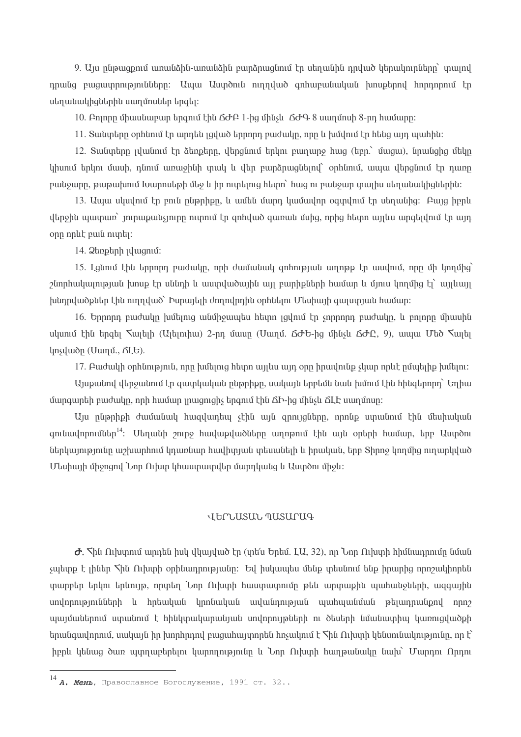9. Այս ընթացքում առանձին-առանձին բարձրացնում էր սեղանին դրված կերակուրները` տալով դրանց բազատրությունները։ Ապա Աստծուն ուղղված գոհաբանական խոսբերով հորդորում էր սեղանակիզներին սաղմոսներ երգել:

10. Բոլորը միասնաբար երգում էին ΔԺԲ 1-ից մինչև ΔԺԳ 8 սաղմոսի 8-րդ համարը:

11. Տանտերը օրինում էր արդեն լզված երրորդ բաժակը, որը և խմվում էր հենց այդ պահին։

12. Տանտերը լվանում էր ձեռքերը, վերցնում երկու բաղարջ hաց (եբր.՝ մացա), նրանցից մեկը կիսում երկու մասի, դնում առաջինի տակ և վեր բարձրացնելով` օրհնում, ապա վերցնում էր դառը բանջարը, թաթախում Խարոսեթի մեջ և իր ուղղելուց հետո` հաց ու բանջար տալիս սեղանակիցներին։

13. Ապա սկսվում էր բուն ընթրիքը, և ամեն մարդ կամավոր օգտվում էր սեղանից։ Բայց իբրև վերջին պատառ` յուրաքանչյուրը ուտում էր զոհված գառան մսից, որից հետո այլևս արգելվում էր այդ opp nplit puili night.

14. *Qunpuph plugniu*:

15. Լցնում էին երրորդ բաժակը, որի ժամանակ գոհության աղոթք էր ասվում, որը մի կողմից՝ շնորհակայության խոսք էր սննդի և աստվածային այլ բարիքների համար և մյուս կողմից էլ՝ այլևայլ խնդրվածքներ էին ուղղված` Իսրայելի ժողովրդին օրհնելու Մեսիայի գալստյան համար:

16. Երրորդ բաժակը խմելուց անմիջապես հետո լցվում էր չորրորդ բաժակը, և բոլորը միասին ulumu thu to quite the metal (Ulumhu) 2-nn uluun (Ulumu co do thusu co do Q, 9), uluu Uto Sulu lnsyluon (Uumu, ΔLb).

17. Բաժակի օրհնություն, որը խմելուց հետո այլևս այդ օրը իրավունք չկար որևէ ըմպելիք խմելու։

Այսքանով վերջանում էր զատկական ընթրիքը, սակայն երբեմն նաև խմում էին հինգերորդ` Եղիա մարգարեի բաժակը, որի համար լրացուցիչ երգում էին ՃԻ-ից մինչև ՃԼԷ սաղմոսը։

Այս ընթրիթի ժամանակ հազվադեպ չէին այն զրույզները, որոնք ստանում էին մեսիական  $\mu$ զունավորումներ $^{14}$ ։ Մեղանի շուրջ հավաքվածները աղոթում էին այն օրերի համար, երբ Աստծու ներկայությունը աշխարհում կդառնար հավիտյան տեսանելի և իրական, երբ Տիրոջ կողմից ուղարկված Մեսիայի միջոցով Նոր Ուխտ կիաստատվեր մարդկանց և Աստծու միջև:

#### JECLISIIL TIISIICIA

 $\sigma$ .  $\zeta$ ին Ուխտում արդեն իսկ վկայված էր (տե՛ս Երեմ. LU, 32), որ Նոր Ուխտի հիմնադրումը նման չպետք է լիներ Տին Ուխտի օրինադրությանը։ Եվ իսկապես մենք տեսնում ենք իրարից որոշակիորեն տարբեր երկու երևույթ, որտեղ Նոր Ուխտի հաստատումը թեև արտաքին պահանջների, ազգային սովորությունների և հրեական կրոնական ավանդության պահպանման թելադրանքով որոշ պայմաներում ստանում է հինկտակարանյան սովորույթների ու ծեսերի նմանատիպ կառուցվածքի  $\mu$ րանցավորում, սակայն իր խորհրդով բազահայտորեն հռչակում է  $\mu$ ն Ուխտի կենսունակությունը, որ է՝ իբրև կենաց ծառ պտղաբերելու կարողությունը և Նոր Ուիսրի հաղթանակը նախ` Մարդու Որդու

<sup>14</sup> **А. Мень**, Православное Богослужение, 1991 ст. 32..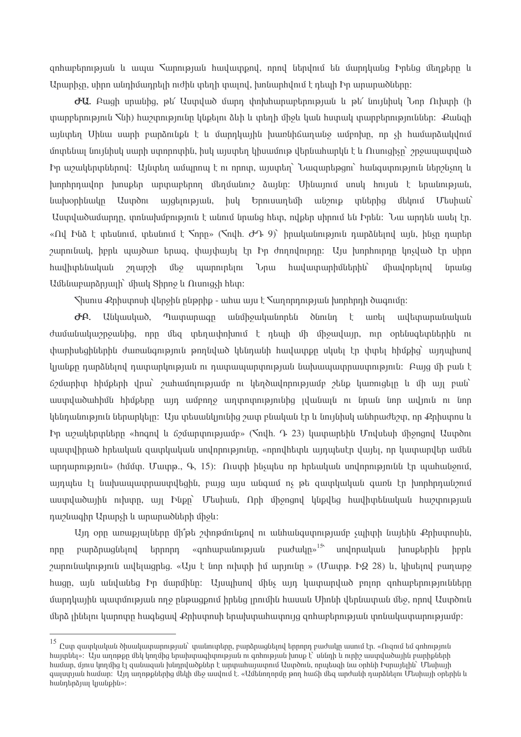ցոհաբերության և ապա Հարության հավատքրվ, որով ներվում են մարդկանց Իրենց մեղքերը և Արարիչը, սիրո անդիմադրելի ուժին տեղի տալով, խոնարհվում է դեպի Իր արարածները։

 $\sigma$ U, Augh unwithg, pt' Uumuluid մարդ փոխիարաբերության և pt' impihul Unp Orlumh (h տարբերություն Տնի) հաշտությունը կնքելու ձևի և տեղի միջև կան հստակ տարբերություններ։ Քանցի այնտեղ Մինա սարի բարձունքն է և մարդկային խառնիճաղանջ ամբոխը, որ չի համառձակվում մոտենալ նույնիսկ սարի ստորոտին, իսկ այստեղ կիսամութ վերնահարկն է և Ուսուզիչը` շրջապատված Իր աշակերտներով: Այնտեղ ամպրոպ է ու որոտ, այստեղ` Նազարեթցու` հանգստություն ներշնչող և խորհրդավոր խոսքեր արտաբերող մեղմանուշ ձայնը։ Մինայում սոսկ հույսն է երանության, *timpophtmulp* **Uuyon** այցելության, իսկ Երուսաղեմի անշուք տներից մեկում Մեսիան` Աստվածամարդը, տոնախմբություն է անում նրանց հետ, ովքեր սիրում են Իրեն։ Նա արդեն ասել էր. «Ով Ինձ է տեսնում, տեսնում է  $\zeta$ որը» ( $\zeta$ ովի. ԺԴ 9)՝ իրականություն դարձնելով այն, ինչը դարեր շարունակ, իբրև պայծառ երազ, փայփայել էր Իր ժողովուրդը։ Այս խորհուրդը կոչված էր սիրո hwyhyhtuwywu *u*unnintini Նրա հավատարիմներին`  $2$ n uun $2$ h մեջ uhuulnpunul *unwuq* U utumuman un h uh ul Shnn μ Ωι ung h http:

 $\mathcal{S}$ իսուս Քրիստոսի վերջին ընթրիք - ահա այս է  $\mathcal{S}$ աղորդության խորհրդի ծագումը։

ታይ. Uuluuluud, Պատարագը անմիջականորեն ծնունդ է առել ավետարանական ժամանակաշրջանից, որը մեց տեղափոխում է դեպի մի միջավայր, ուր օրենսցետներին ու փարիսեցիներին ժառանգություն թորնված կենդանի իավատքը սկսել էր փտել իիմքից` այդախյով կյանքը դարձնելով դատարկության ու դատապարտության նախապատրաստություն։ Բայց մի բան է ճշմարիտ հիմքերի վրա՝ շահամոլությամբ ու կեղծավորությամբ շենք կառուցելը և մի այլ բան՝ աստվածահիմն հիմբերը, այդ ամբողջ արտոտությունից յվանայն ու նոան նոր ավյուն ու նոր կենդանություն ներարկելը։ Այս տեսանկյունից շատ բնական էր և նույնիսկ անհրաժեշտ, որ Քրիստոս և Իր աշակերտները «hnqnվ և ճշմարտությամբ» (Sndh. Դ. 23) կատարեին Մովսեսի միջոցով Աստծու այատվիրած իրեական զատկական սովորությունը, «որովիետև այրպեսէր վայել, որ կատարվեր ամեն unnunnin milli» (huun. Uuunn. 9, 15): Quunh husultu nn hnauluulu undnnnin milli lin uuuhulusniu. այդպես էլ նախապատրաստվեցին, բայց այս անգամ ոչ թե զատկական գառն էր խորհրդանշում աստվածային ուխտը, այլ Ինքը` Մեսիան, Որի միջոցով կնքվեց հավիտենական հաշտության nuphuahn Ununsh li unununduah uholi:

Այդ օրը առաբյալները մի՞թե շփոթմունքով ու անհանգստությամբ չպիտի նայեին Քրիստոսին,  $t$ դրորդ «գոհաբանության բարձրացնելով nnn hppl  $\alpha$ արունակություն ավելացրեց. «Այս է նոր ուխտի իմ արյունը » (Մատթ. Ի 228) և, կիսելով բաղարջ հացը, այն անվանեց Իր մարմինը։ Այսպիսով մինչ այդ կատարված բոլոր ցոհաբերությունները մարդկային պատմության ողջ ընթացքում իրենց յրումին հասան Միոնի վերնատան մեջ, որով Աստծուն մերձ լինելու կարոտը հագեցավ Քրիստոսի երախտահատույց ցոհաբերության տոնակատարությամբ։

 $^{15}$ Ըստ զատկական ծիսակատարության` տանուտերը, բարձրացնելով երրորդ բաժակը ասում էր. «Ուզում եմ գոհություն hայտնել»: Այս աղոթքը մեկ կողմից երախտագիտության ու գոհության խոսք է՝ սննդի և ուրիշ աստվածային բարիքների համար, մյուս կողմից էլ զանազան խնդրվածքներ է արտահայատում Աստծուն, որպեսզի նա օրինի Իսրայելին` Մեսիայի գայստյան համար։ Այդ աղոթքներից մեկի մեջ ասվում է. «Ամենողորմը թող հաճի մեզ արժանի դարձնելու Մեսիայի օրերին և hանդերձյալ կյանքին»: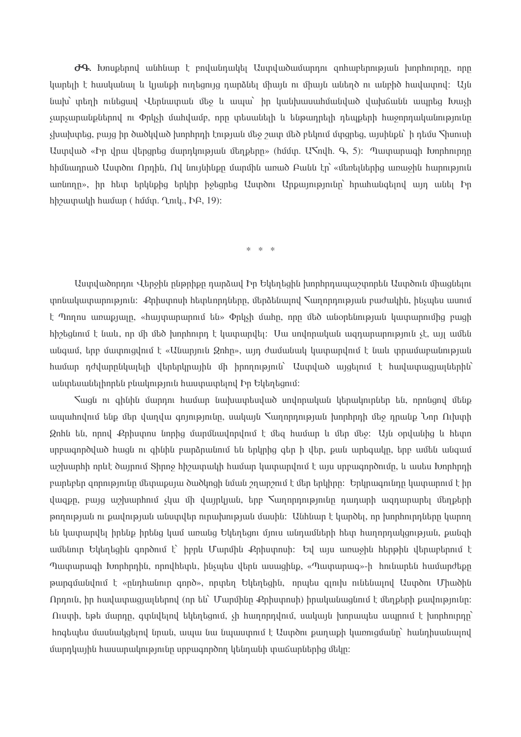$\sigma$ 9. Խոսքերով անհնար է բովանդակել Աստվածամարդու գոհաբերության խորհուրդը, որը կարելի է հասկանալ և կյանքի ուղեցույց դարձնել միայն ու միայն անեղծ ու անբիծ հավատով։ Այն նախ՝ տեղի ունեցավ Վերնատան մեջ և ապա՝ իր կանխասահմանված վախճանն ապրեց խաչի չարչարանքներով ու Փրկչի մահվամբ, որը տեսանելի և ենթադրելի դեպքերի հաջորդականությունը  $\mu$ չիախտեզ, բայց իր ծածկված խորհրդի էության մեջ շատ մեծ բեկում մտցրեց, այսինքն` ի դեմս  $\lambda$ իսուսի Uuyuud «Իր վրա վերցրեց մարդկության մեղքերը» (hմմտ. U muh. Գ, 5): Պատարագի Խորհուրդը hիմնադրած Աստծու Որդին, Ով նույնինքը մարմին առած Բանն էր՝ «մեռելներից առաջին հարություն unնnnn», իր հետ երկնքից երկիր իջեցրեց Աստծու Արքայությունը՝ հրահանգելով այդ անել Իր hhouunuulh huuun (huun. Lnil, bol, 19):

 $* * *$ 

Աստվածորդու Վերջին ընթրիքը դարձավ Իր Եկեղեցին խորհրդապաշտորեն Աստծուն միացնելու ynuuluunun upmala: Քրիստոսի httplunnnները, մերձենալով Tաnnnnnpյան բաժակին, ինչպես ասում  $\mathfrak k$  Պողոս առաքյայը, «հայտարարում են» Փրկչի մահը, որը մեծ անօրենության կատարումից բացի <u>hիշեցնում է նաև, որ մի մեծ խորհուրդ է կատարվել։ Սա սովորական ազդարարություն չէ, այլ ամեն</u> անցամ, երբ մատուցվում է «Անարյուն Ձոհը», այդ ժամանակ կատարվում է նաև տրամաբանության համար դժվարընկալելի վերերկրային մի իրողություն` Աստված այցելում է հավատացյալներին` անտեսանելիորեն բնակություն հաստատելով Իր Եկեղեցում:

Swali ni ahlihli մարդու huujun liuihuuntuuluud undnnuuluuli litinuulininlitin tili, nnnlignd մենք ապահովում ենք մեր վաղվա զոյությունը, սակայն Տաղորդության խորհրդի մեջ դրանք Նոր Ուխտի Onhն են, որով Քրիստոս նորից մարմնավորվում է մեզ համար և մեր մեջ: Այն օրվանից և հետո սրբագործված hացն ու գինին բարձրանում են երկրից գեր ի վեր, քան արեգակը, երբ ամեն անգամ աշխարհի որևէ ծայրում Shnn9 հիշատակի համար կատարվում է այս սրբագործումը, և ասես Խորհրդի բարեբեր զորությունը մետաքսյա ծածկոցի նման շղարշում է մեր երկիրը։ Երկրագունդը կատարում է իր վազքը, բայց աշխարհում չկա մի վայրկյան, երբ Տաղորդությունը դադարի ազդարարել մեղքերի թողության ու բավության անստվեր ուրախության մասին։ Անհնար է կարծել, որ խորհուրդները կարող են կատարվել իրենք իրենց կամ առանց Եկեղեցու մյուս անդամների հետ հաղորդակցության, բանցի ամենուր Եկեղեցին գործում է՝ իբրև Մարմին Քրիստոսի։ Եվ այս առաջին հերթին վերաբերում է Պատարագի Խորհրդին, որովհետև, ինչպես վերն ասացինք, «Պատարագ»-ի հունարեն համարժեքը թարգմանվում է «ընդհանուր գործ», որտեղ Եկեղեցին, որպես գյուխ ունենայով Աստծու Միածին Որդուն, իր հավատացյալներով (որ են` Մարմինը Քրիստոսի) իրականացնում է մեղքերի քավությունը։ Ուստի, եթե մարդը, գտնվելով եկեղեցում, չի հաղորդվում, սակայն խորապես ապրում է խորհուրդը` hnqեպես մասնակցելով նրան, ապա նա նպաստում է Աստծու քաղաքի կառուցմանը` հանդիսանալով մարդկային հասարակությունը սրբագործող կենդանի տաճարներից մեկը։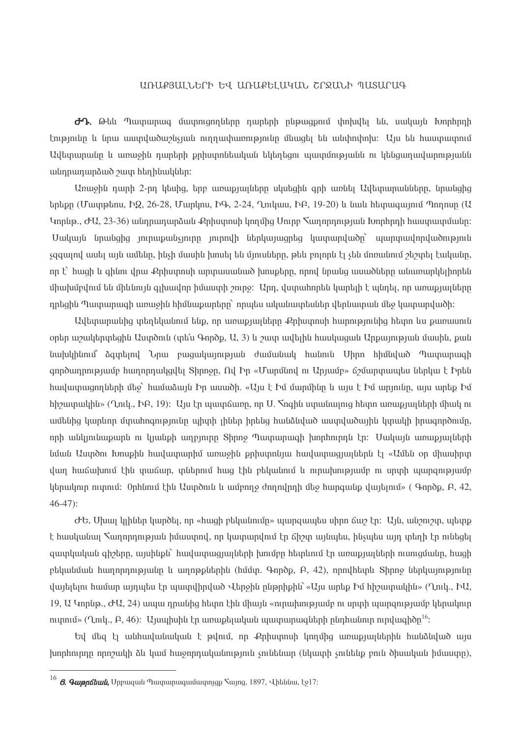#### ԱՌԱՔՅԱԼՆԵՐԻ ԵՎ ԱՌԱՔԵԼԱԿԱՆ ՇՐՋԱՆԻ ՊԱՏԱՐԱԳ

 $\partial$ Դ. Թեև Պատարագ մատուցողները դարերի ընթացքում փոխվել են, սակայն Խորհրդի էությունը և նրա աստվածաշնչյան ուղղափառությունը մնացել են անփոփոխ։ Այս են հաստատում Ավետարանը և առաջին դարերի քրիստոնեական եկեղեցու պատմությանն ու կենցաղավարությանն անդրադարձած շատ հեղինակներ։

Առաջին դարի 2-րդ կեսից, երբ առաբյալները սկսեցին գրի առնել Ավետարանները, նրանցից երեքը (Մատքեոս, ԻՁ, 26-28, Մարկոս, ԻԳ, 2-24, Ղուկաս, ԻԲ, 19-20) և նաև հետագայում Պողոսը (Ա Կորնթ., ԺԱ, 23-36) անդրադարձան Քրիստոսի կողմից Սուրբ Տաղորդության Խորհրդի հաստատմանը։ Uակայն նրանցից յուրաքանչյուրը յուրովի ներկայացրեց կատարվածը` պարտավորվածություն չզգայով ասել այն ամենը, ինչի մասին խոսել են մյուսները, թեև բոլորն էլ չեն մոռանում շեշտել էականը, որ է՝ հացի և գինու վրա Քրիստոսի արտասանած խոսքերը, որով նրանց ասածները անառարկելիորեն միախմբվում են միևնույն գլխավոր իմաստի շուրջ։ Արդ, վստահորեն կարելի է պնդել, որ առաքյալները որեցին Պատարացի առաջին իիմնաքարերը` որաես ականատեսներ վերնատան մեջ կատարվածի։

Ավետարանից տեղեկանում ենք, որ առաքյալները Քրիստոսի հարությունից հետո ևս քառասուն օրեր աշակերտեցին Աստծուն (տե՛ս Գործք, Ա, 3) և շատ ավելին հասկացան Արքայության մասին, քան նախկինում՝ ձգտելով Նրա բազակայության ժամանակ հանուն Միրո հիմնված Պատարագի  $q$ ործադրությամբ հաղորդակզվել Shnnջը, Ով Իր «Մարմնով ու Արյամբ» ճշմարտապես ներկա է Իրեն huu uu mumu mumba badan badan badan badan badan badan badan badan badan badan badan badan badan badan badan ba hheuunuulhu» (Ղուկ., ԻԲ, 19): Այս էր պատճառը, որ U. Noqhu արանայուց hետո առաքյայների միակ ու ամենից կարևոր մտահոգությունը պիտի լիներ իրենց հանձնված աստվածային կտակի իրագործումը, որի անկյունաքարն ու կյանքի աղբյուրը Տիրոջ Պատարագի խորհուրդն էր։ Մակայն առաքյայների նման Աստծու Խոսքին հավատարիմ առաջին քրիստոնյա հավատացյալներն էլ «Ամեն օր միասիրտ վաղ հաճախում էին տաճար, տներում հաց էին բեկանում և ուրախությամբ ու սրտի պարցությամբ  $\mu$ երակուր ուսրում: Օրհնում էին Աստծուն և ամբողջ ժողովրդի մեջ հարգանք վայելում» ( Գործք, Բ, 42,  $46-47$ :

 $\sigma$ Ե, Սիսալ կլիներ կարծել, որ «հացի բեկանումը» պարզապես սիրո ճաշ էր։ Այն, անշուշտ, պետք է հասկանալ Տաղորդության իմաստով, որ կատարվում էր ճիշտ այնպես, ինչպես այդ տեղի էր ունեցել զատկական գիշերը, այսինքն` հավատացյալների խումբը հետևում էր առաքյալների ուսուցմանը, հացի բեկանման հաղորդությանը և աղոթքներին (հմմտ. Գործք, Բ, 42), որովհետև Shnnջ ներկայությունը վայելելու համար այդպես էր պատվիրված Վերջին ընթրիքին՝ «Այս արեք Իմ հիշատակին» (Ղուկ., ԻԱ, 19, U Կորնթ., ԺU, 24) ապա դրանից հետո էին միայն «ուրախությամբ ու սրտի պարզությամբ կերակուր ni upni (Ղուկ., Բ, 46): Այսպիսին էր առաքելական պատարագների ընդհանուր ուրվագիծը <sup>16</sup>:

Եվ մեզ էլ անհավանական է թվում, որ Քրիստոսի կողմից առաքյալներին հանձնված այս խորհուրդը որոշակի ձև կամ հաջորդականություն չունենար (նկատի չունենք բուն ծիսական իմաստը),

 $^{16}$   $\it{B.}$  Չաթրճեան, Սրբազան Պատարազամատոյցք <code>S</code>այոց, 1897, Վիեննա, էջ17։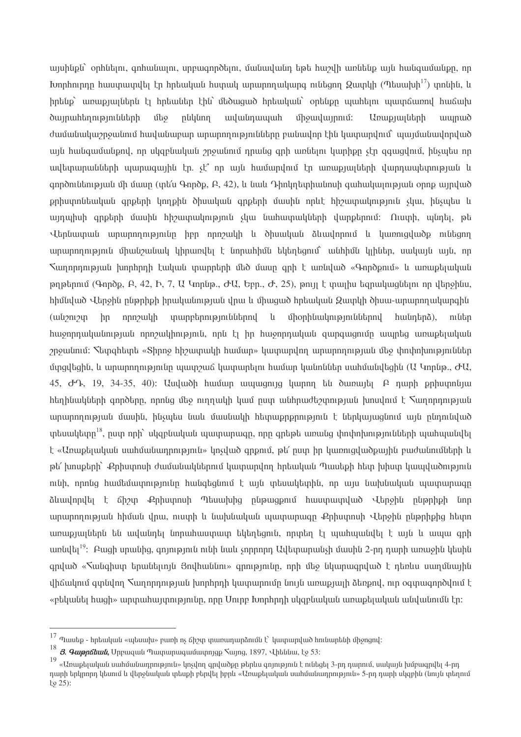այսինքն` օրինելու, գոհանալու, սրբագործելու, մանավանդ եթե հաշվի առնենք այն հանգամանքը, որ  $\mu$  kunhninnn huiuniumilta the hatuuluufi huinuuli uiniunnnuuluuna nifitann Quinlih (Tatuuluh $^{17}$ ) innfihfi. L hntilip` առաքյայներն էլ hntաներ էին` մեծացած hntական` ontilipn պահելու պատճառով հաճախ ծայրահեղությունների น์โเ*จ* րնկնող wuluunwuun uhouuluunnuu: Առաքյայների *uuunuud* ժամանակաշրջանում հավանաբար արարողությունները բանավոր էին կատարվում` պայմանավորված այն հանգամանքով, որ սկցբնական շրջանում դրանց զրի առնելու կարիքը չէր ցցացվում, ինչպես որ ավետարանների պարագային էր, չէ՞ որ այն համարվում էր առաքյալների վարդապետության և  $q$ ործունեության մի մասը (տե՛ս Գործք, Բ, 42), և նաև Դիոկղետիանոսի գահակայության օրոք այրված քրիստոնեական գրքերի կողքին ծիսական գրքերի մասին որևէ հիշատակություն չկա, ինչպես և այդպիսի գրքերի մասին հիշատակություն չկա նահատակների վարքերում։ Ուստի, պնդել, թե Վերնատան արարողությունը իբր որոշակի և ծիսական ձևավորում և կառուցվածք ունեցող արարողություն միանշանակ կիրառվել է նորահիմն եկեղեցում` անհիմն կլիներ, սակայն այն, որ Sumnnnnna uu hunnnnh tuluu yuunnunh uto uuun qnh t unuluud «Գործ pnu» և առաթելական  $p$ րրերում (Գործք, Բ, 42, Ի, 7, Ա Կորնթ., ԺԱ, Եբր., Ժ, 25), թույլ է տալիս եզրակացնելու որ վերջինս, հիմնված Վերջին ընթրիքի իրականության վրա և միացած հրեական Զատկի ծիսա-արարողակարգին  $(u\nu)$ տարբերություններով  $\mathbf{u}$ unonhuulmuannuutunnu  $hn$ nnnouulh huuuntina). ուներ <u>huonnnuluuնnua uu nnn aulhnua muu tunni muonnnuluu qunquqnun muuntq</u> unuptquluu շրջանում: Տետցիետե «Shnnջ hիշատակի համար» կատարվող արարողության մեջ փոփոխություններ մտցվեցին, և արարողությունը պատշաճ կատարելու համար կանոններ սահմանվեցին (Ա Կորնթ., ԺԱ,  $45, \sigma$  R,  $19, 34-35, 40$ ): Uuyuudh huufuun uuyuugnig yuunn tifu duunuiti R nunh pihuyinfiyuu htinhuuluutah anndtinn, nnnua uto ninnuulh liuu nuu uuthnuidtoinnipiuu hinuuniu t Suinnnnnipiuut արարողության մասին, ինչպես նաև մասնակի հետաքրքրություն է ներկայացնում այն ընդունված տեսակետը<sup>18</sup>, ըստ որի` սկզբնական պատարագը, որը գրեթե առանց փոփոխությունների պահպանվել է «Առաբեյական սահմանադրություն» կոչված գրքում, թե՛ ըստ իր կառուցվածքային բաժանումների և թե՛ խոսքերի` Քրիստոսի ժամանակներում կատարվող հրեական Պասեքի հետ խիստ կապվածություն ունի, որոնց համեմատությունը հանգեցնում է այն տեսակետին, որ այս նախնական պատարագը ձևավորվել է ճիշտ Քրիստոսի Պեսախից ընթացքում հաստատված Վերջին ընթրիքի նոր արարողության հիման վրա, ուստի և նախնական պատարագը Քրիստոսի Վերջին ընթրիքից հետո առաբյալներն են ավանդել նորահաստատ եկեղեցուն, որտեղ էլ աահաանվել է այն և ապա ցրի առնվել<sup>19</sup>: Բացի սրանից, գոյություն ունի նաև չորրորդ Ավետարանչի մասին 2-րդ դարի առաջին կեսին գրված «Տանգիստ երաներոյն Յովհաննու» գրությունը, որի մեջ նկարագրված է դեռևս սաղմնային tho ulnu quantum sunnnnnu quu hunnnnn huununnun tun tunupuun durppul, nin oquuqquqduu t «բեկանել hացի» արտահայտությունը, որը Uուրբ խորհրդի սկզբնական առաթելական անվանումն էր։

 $^{17}$ Պասեք - հրեական «պեսախ» բառի ոչ ճիշտ տառադարձումն է` կատարված հունարենի միջոցով։

 $18$  8. Գաթրճեան, Սրբազան Պատարազամատույցք Տայոց, 1897, Վիեննա, էջ 53:

<sup>19&</sup>lt;br>«Առաքելական սահմանադրություն» կոչվող գրվածքը թերևս գոյություն է ունեցել 3-րդ դարում, սակայն խմբագրվել 4-րդ դարի երկրորդ կեսում և վերջնական տեսքի բերվել իբրև «Առաքելական սահմանադրություն» 5-րդ դարի սկզբին (նույն տեղում  $tg$  25):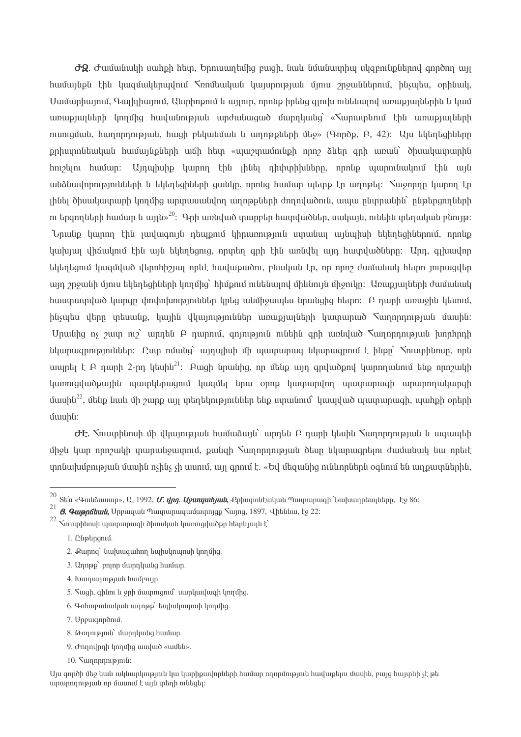$\partial \Omega$ .  $\sigma$  ամանակի սահքի հետ, Երուսաղեմից բացի, նաև նմանատիպ սկզբունքներով գործող այլ huutuytipti thu yuqutuytinuylniu Sonutuyluuti yuyunnipuuti uyniu ongututtinniu, htisuytiu, onhtuuy, Մամարիայում, Գայիլիայում, Անտիոթում և այլուր, որոնք իրենց գյուխ ունենայով առաքյայներին և կամ առաքյալների կողմից հավանության արժանացած մարդկանց՝ «Տարատևում էին առաքյալների niuniquulu, huinnnininiquulu, huigh puluuluulululu lu uinnippliunh ulus» (9mpdp, P, 42): Uju tuluntighliunn pphuynutuyuu huuuuuu huuuu huu waa huu wuu yuuunuun top npn alutin qnh uunuu dhuuuuuuuuu huu hnı *z*im huu un: Unu huh yunn էին լինել դիփսիխները, որոնք պարունակում էին այն անձնավորությունների և եկեղեցիների ցանկը, որոնց համար պետք էր աղոթել։ Տաջորդը կարող էր լինել ծիսակատարի կողմից արտասանվող աղոթքների ժողովածուն, ապա ընտրանին՝ ընթերցողների nı երգողների hամար և այլն»<sup>20</sup>: Գրի առնված տարբեր hատվածներ, սակայն, ունեին տեղական բնույթ: Նրանք կարող էին լավագույն դեպքում կիրառություն ստանալ այնպիսի եկեղեցիներում, որոնք կախյալ վիճակում էին այն եկեղեցուց, որտեղ գրի էին առնվել այդ հատվածները։ Արդ, գլխավոր եկեղեցում կացմված վերոհիշյալ որևէ հավաքածու, բնական էր, որ որոշ ժամանակ հետո լուրացվեր այդ շրջանի մյուս եկեղեցիների կողմից՝ հիմքում ունենայով միևնույն միջուկը։ Առաքյայների ժամանակ huuupuupuud yungn yhnynpunpyntuttp yptig uutipouuutu tiputtighg htipn: A nunh unuiohti ytuniu, ինչպես վերը տեսանք, կային վկայություններ առաքյայների կատարած Տաղորդության մասին։ Unwigha n 2010 no unnulu R nunnui, animiaini nu and an untulu Sunnninia նկարագրություններ։ Ըստ ոմանց` այրաիսի մի ապտարագ նկարագրում է ինքը` Տուստինոսը, որն ապրել է Բ դարի 2-րդ կեսին<sup>21</sup>: Բացի նրանից, որ մենք այդ գրվածքով կարողանում ենք որոշակի կառուցվածքային պատկերացում կազմել նրա օրոք կատարվող պատարագի արարողակարգի utuuhu<sup>22</sup>, utilip lituli uh zunp tun tulantilini tahu lilip lilip umulunun lutuudud muuntilimeen, tutuhph ontah uwuhu:

 $\sigma$ Է.  $\zeta$ ուստինոսի մի վկայության համաձայն` արդեն Բ դարի կեսին  $\zeta$ աղորդության և ագապեի ifholi liuin nnnouilih iniuniulioiuinnii, puiliah Nunnnnnimiinii dain liliuniuantani duifuliuili liui nntat ynnu pu məndə bu qala bu qala sahiyinin qala bu qala badan badan bu qala badan bu qalman bu qalman badan bu qa

1. Luphpqnu.

- 3. Unnap pnin umnumum huum.
- 4. Ivununnipjuit huiupnijn.
- 5. Suigh, ghlini li 9ph մայրուցում` սարկավացի կողմից.
- 6. Գոհաբանական աղոթք` եպիսկոպոսի կողմից.
- 7. Unpwgnndniu.
- 8. Թողություն` մարդկանց համար.
- 9. Ժողովրդի կողմից ասված «ամեն».
- 10. Summmmmmli:

Այս գործի մեջ նաև ակնարկություն կա կարիքավորների համար ողորմություն հավաքելու մասին, բայց հայտնի չէ թե արարողության որ մասում է այն տեղի ունեցել։

<sup>&</sup>lt;sup>20</sup> Տե՛ս «Գանձասար», Ա, 1992, *Մ. վրդ. Աջապահյան*, Քրիստոնէական Պատարագի Նախադրեալները, Էջ 86։

<sup>21</sup> *8. Գաթրճեան*, Սրբազան Պատարազամատոյցք Տայոց, 1897, Վիեննա, էջ 22։

 $22$  <br> Հուստինոսի պատարագի ծիսական կառուցվածքը հետևյալն է՝

<sup>2.</sup> Քարոց` նախագահող եպիսկոպոսի կողմից.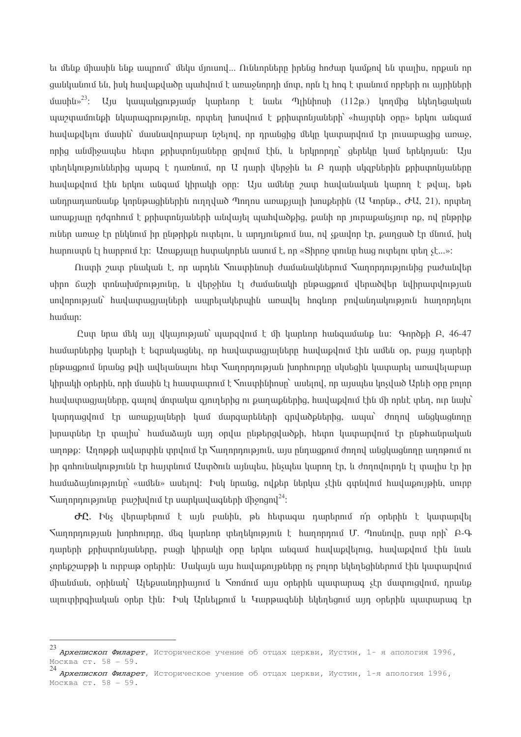ել մենք միասին ենք ապրում` մեկս մյուսով... Ունևորները իրենց հոժար կամքով են տալիս, որքան որ ցանկանում են, իսկ հավաթվածը պահվում է առաջնորդի մոտ, որն էլ հոգ է տանում որբերի ու այրիների մասին»<sup>23</sup>: Այս կապակցությամբ կարեւոր է նաեւ Պլինիոսի (112թ.) կողմից եկեղեցական պաշտամունքի նկարագրությունը, որտեղ խոսվում է քրիստոնյաների՝ «հայտնի օրը» երկու անգամ իավաքվելու մասին` մասնավորաբար նշելով, որ դրանցից մեկը կատարվում էր լուսաբացից առաջ, որից անմիջապես հետո թրիստոնյաները ցրվում էին, և երկրորդը` ցերեկը կամ երեկոյան։ Այս տեղեկություններից պարզ է դառնում, որ Ա դարի վերջին եւ Բ դարի սկզբներին քրիստոնյաները huuluupulnu thu tinun uutiquu yhnuulih onn: Uju uuttun yuun huuluutuuluuti luunnn t pilui, tipti անդրադառնանք կորնթացիներին ուղղված Պողոս առաքյալի խոսքերին (Ա Կորնթ., ԺԱ, 21), որտեղ առաքյայր դժգոհում է քրիստոնյաների անվայել պահվածքից, քանի որ յուրաքանչյուր ոք, ով ընթրիք ուներ առաջ էր ընկնում իր ընթրիքն ուտելու, և արդյունքում նա, ով չքավոր էր, քաղցած էր մնում, իսկ hարուստն էլ hարբում էր։ Առաքյալը huտակորեն ասում է, որ «Shnnջ տունը hաց ուտելու տեղ չէ...»:

 $\Omega$ յստի շատ բնական է, որ արդեն Տուստինոսի ժամանակներում Տաղորդությունից բաժանվեր սիրո ճաշի տոնախմբությունը, և վերջինս էլ ժամանակի ընթացքում վերածվեր նվիրատվության սովորության` հավատացյալների ապրելակերպին առավել հոգևոր բովանդակություն հաղորդելու huuun:

Quin tinui istu un illiunnia julio unungulniu t ish huntinin hutiqui uti ili modeli A, 46-47 hամարներից կարելի է եզրակացնել, որ հավատացյալները հավաքվում էին ամեն օր, բայց դարերի ընթացքում նրանց թվի ավելանալու հետ Տաղորդության խորհուրդը սկսեցին կատարել առավելաբար  $l$  կիրակի օրերին, որի մասին էլ հաստատում է  $\zeta$ ուստինիոսը` ասելով, որ այսպես կոչված Արևի օրը բոլոր huuluunuguun ulam ay dhonuluu qonn ah punup baha, huulup dhi uh nalt yan ama kuhi կարդազվում էր առաբյալների կամ մարզարեների գրվածքներիզ, ապա` ժողով անզկազնողը խրատներ էր տալիս` համաձայն այդ օրվա ընթերցվածքի, հետո կատարվում էր ընթհանրական ադոթը: Ադոթքի ավարտին տրվում էր Տաղորդություն, այս ընդացքում ժողով անցկացնողը ադոթում ու իր գոհունակությունն էր հայտնում Աստծուն այնպես, ինչպես կարող էր, և ժողովուրդն էլ տալիս էր իր 

 $\sigma$ Ը. Ինչ վերաբերում է այն բանին, թե հետագա դարերում ո՛ր օրերին է կատարվել Sumnnnnnow hunhninnn, մեց կարևոր տեղեկություն է hunnnnnuմ Մ. Պոսնովը, ըստ որի՝ Բ-Գ դարերի քրիստոնյաները, բացի կիրակի օրը երկու անգամ հավաքվելուց, հավաքվում էին նաև չորեքշաբթի և ուրբաթ օրերին։ Մակայն այս հավաքույթները ոչ բոլոր եկեղեցիներում էին կատարվում միանման, օրինակ` Ալեքսանդրիայում և Spnմում այս օրերին պատարաց չէր մատուցվում, դրանք այուտիրգիական օրեր էին։ Իսկ Արևեյթում և Կարթագենի եկեղեցում այդ օրերին պատարագ էր

Архепископ Филарет, Историческое учение об отцах церкви, Иустин, 1- я апология 1996, Москва ст. 58 - 59.

и<br>24 **Архепископ Филарет,** Историческое учение об отцах церкви, Иустин, 1-я апология 1996, Москва ст. 58 - 59.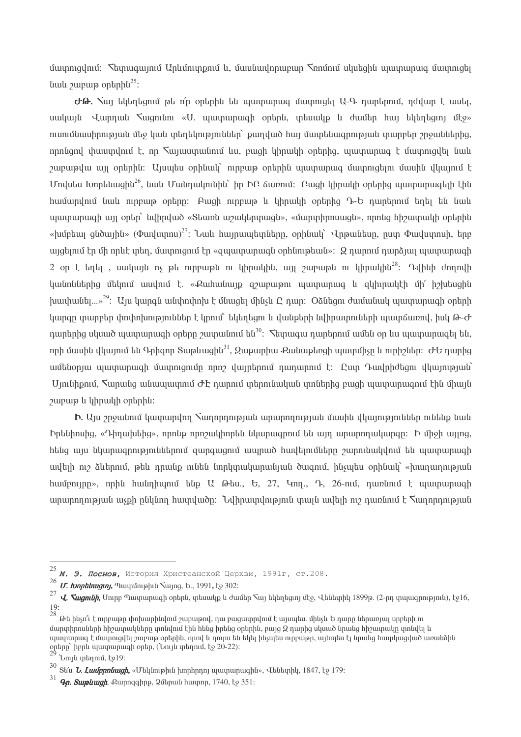մատուցվում։ Տետացայում Արևմուտքում և, մասնավորաբար Տռոմում սկսեցին պատարաց մատուցել  $\mu$ ulu  $\mu$ unung ontinh $\mu^{25}$ :

 $\sigma$ . Sun tilita tion of the notion of the summan summight U-4 nuntingular notion t that uwywit Quinnul Swgnitin «U. www.mugh ontinti, whowlp t dwuttin hun tilltintigin uto» nւսումնասիրության մեջ կան տեղեկություններ` բաղված հայ մատենագրության տարբեր շրջաններից, nnnunul thuuundnu t, nn Suquuunuunuu du, pugh hhnuuh ontinhg, yuunununuu t uunniqilti tuul շաբաթվա այլ օրերին։ Այսպես օրինակ՝ ուրբաթ օրերին պատարագ մատուցելու մասին վկայում է Undutu Ionnti unghu<sup>26</sup>, նաև Մանդակունին` իր ԻԲ ճառում: Բացի կիրակի օրերից պատարագելի էին huuunununu tuulu ninpui optinn: Auigh ninpui lu lihnuuli optinha n-b nuntinniu tinti tiu tuulu ujuununuuqh uy ontin tulhnulud «Staunti ui aultinunuuqti», «utunun hinuuqti», nnntiq hhauunuuqh ontinhti «huintuu quduuhu» ( $\Phi$ uuluunnu)<sup>27</sup>: Luul huintuutunutan an onhuuti Unatuun, nun  $\Phi$ uuluunnuh, tann այցելում էր մի որևէ տեղ, մատուցում էր «զպատարագն օրինութեան»: Q դարում դարձյալ պատարագի 2 on t  $\ln\ln$ , սակայն ոչ թե ուրբաթն ու կիրակին, այլ շաբաթն ու կիրակին<sup>28</sup>: Դվինի ժողովի huu un un under habin basa dan barat dari dan barat dan dan dan barat dan barat dan dan barat dari dan barat d  $\mu$ ասիանել...»<sup>29</sup>: Այս կարգն անփոփոխ է մնացել մինչև Ը դար։ Օձնեցու ժամանակ պատարագի օրերի կարգը տարբեր փոփոխություններ է կրում` եկեղեցու և վանքերի նվիրատուների պատճառով, իսկ Թ-Ժ nnh մասին վկայում են Գոիգոր Տաթևազին $^{31}$ , Զաքարիա Քանաքեռցի պատմիչը և ուրիշներ։ ԺԵ դարից ամենօրյա պատարագի մատուցումը որոշ վայրերում դադարում է։ Ըստ Դավրիժեցու վկայության՝ Umuthpnu, Sumutiq անապատում ԺԷ դարում տերունական տոներից բացի պատարագում էին միայն *purpura la lahnulla ontanhu*:

 $\mathbf{b}$ , Uu  $\gamma$ n $\gamma$ uununununun  $\gamma$ unnnnnu $\gamma$ uununnnnunununun uunun uununnnununun nunun uunun bptuhnuhq, «Դիդախեիզ», որոնք որոշակիորեն նկարագրում են այդ արարողակարգը: b միջի այլոզ, hting այս նկարագրություններում զարգացում ապրած հավելումները շարունակվում են պատարագի ավելի ուշ ձևերում, թեև դրանք ունեն նորկտակարանյան ծագում, ինչպես օրինակ՝ «խաղաղության huugnupp», nphu huugnhuppu tup U  $\theta$ tu., b, 27, 4np., 9, 26-nui, nungnupu t uuugnupuugh արարողության աչքի ընկնող հատվածը: Նվիրատվություն տալն ավելի ուշ դառնում է հաղորդության

<sup>25</sup> **М. Э. Поснов**, История Христеанской Церкви, 1991г, ст.208.

<sup>26</sup> *U. Ionphiluiginj*, Պատմութիւն Տայոց, Ե., 1991, էջ 302:

<sup>27</sup> **J.** *Sugnith***,** Unipp Պատարագի օրերն, տեսակք և ժամեր Տայ եկեղեցւոյ մէջ, Վենետիկ 1899թ. (2-րդ տպագրություն), էջ16,  $19:$ 

<sup>28&</sup>lt;br>28 Թե ինչո՞ւ է ուրբաթը փոխարինվում շաբաթով, դա բացատրվում է այսպես. մինչև Ե դարը ներառյալ սրբերի ու մարտիրոսների հիշատակները տոնվում էին հենց իրենց օրերին, բայց 2 դարից սկսած նրանց հիշատակը տոնվել և պատարաց է մատուցվել շաբաթ օրերին, որով և դուրս են եկել ինչպես ուրբաթը, այնպես էլ նրանց հատկացված առանձին ophpp` իբրև պատարագի օրեր, (Նույն տեղում, էջ 20-22)։<br><sup>29</sup> Նույն տեղում, էջ19։

<sup>30&</sup>lt;br>Stru *Ն. Լամբրոնացի,* «Մեկնութիւն խորհրդոյ պատարագին», Վենետիկ, 1847, էջ 179։

 $31$  *Qn. Suipliugh*, Punnqqhpp, 20thpuli hunning, 1740, to 351: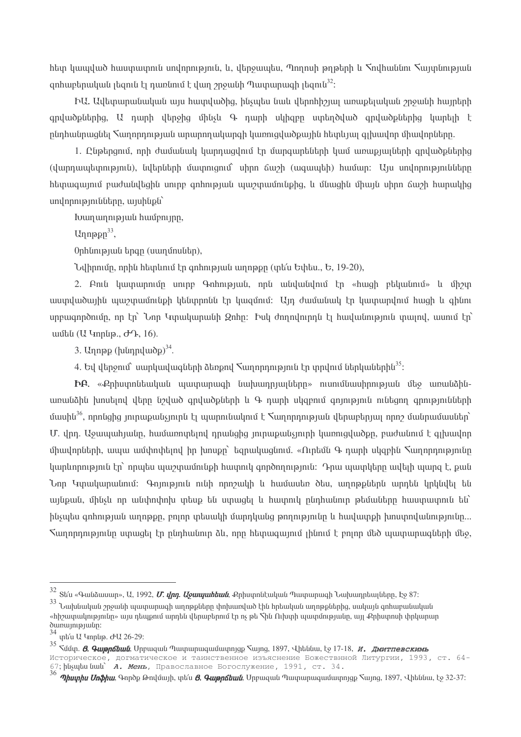htip կապված hաստարուն սովորություն, և, վերջապես, Պողոսի թղթերի և Տովհաննու Տայտնության onhuntanuluutu kanitu tununtanut tulun onguth Tulununun kanitu  $3^2$ :

ԻԱ, Ավետարանական այս հատվածից, ինչպես նաև վերոհիշյալ առաբելական շրջանի հայրերի  $q$ րվածքներից,  $U$  դարի վերջից մինչև Գ դարի սկիզբը ստեղծված գրվածքներից կարելի է ընդհանրացնել Տաղորդության արարողակարգի կառուցվածքային հետևյալ գլխավոր միավորները.

1. Ընթերցում, որի ժամանակ կարդացվում էր մարցարեների կամ առաքյայների ցրվածքներից (վարդապետություն), նվերների մատուցում՝ սիրո ճաշի (ազապեի) համար։ Այս սովորությունները <u>htimuguynyi pudulultiqhu uninp qnhnyajulu ujuzinuliniliphq, li iliyyqhlu iliyyi uhnn buzih humulihq</u>  $unl$ րրությունները, այսինքն`

buun un ni piu uu huu un nin.

Unnopn $33$ .

Ophunpjuuu tipqp (uumunuutip),

Նվիրումը, որին հետևում էր ցոհության աղոթքը (տե՛ս Եփես., Ե, 19-20),

2. Բուն կատարումը սուրբ Գոհության, որն անվանվում էր «հացի բեկանում» և միշտ աստվածային պաշտամունքի կենտրոնն էր կազմում։ Այդ ժամանակ էր կատարվում հացի և գինու unpuugnnonum, nn  $\ln \ln \ln \$ unuluunuun 2nhn: bul dnnnulninnu  $\ln \ln \ln \ln \ln \ln \ln$ ամեն (Ա Կորնթ., ԺԴ, 16).

3. Unnap ( $\mu$ [unnuluudoo]<sup>34</sup>.

4. Եվ վերջում` սարկավագների ձեռքով  $\zeta$ աղորդություն էր տրվում ներկաներին<sup>35</sup>:

 $\mathbf{P}$  . «Քրիստոնեական պատարագի նախադրյայները» ուսումնասիրության մեջ առանձինառանձին խոսելով վերը նշված գրվածքների և Գ դարի սկզբում գոյություն ունեցող գրությունների U. վրդ. Աջապահյանը, համառուրելով դրանցից յուրաքանչյուրի կառուցվածքը, բաժանում է գլխավոր միավորների, ապա ամփոփելով իր խոսքը` եզրակացնում. «Ուրեմն Գ դարի սկզբին Հաղորդությունը  $\alpha$  կարևորություն էր` որպես պաշտամունքի հատուկ գործողություն: Դրա պատկերը ավելի պարզ է, քան Նոր Կտակարանում։ Գոյություն ունի որոշակի և համասեռ ծես, աղոթքներն արդեն կրկնվել են այնքան, մինչև որ անփոփոխ տեսք են ստացել և հատուկ ընդհանուր թեմաները հաստատուն են՝ ինչպես գոհության աղոթքը, բոլոր տեսակի մարդկանց թողությունը և հավատքի խոստովանությունը... Sumnnnnuannlin umwali to nlinhulinin ali, nnn hlimwawinin ihlinin t pninn illid wumunwalilinh illio,

<sup>&</sup>lt;sup>32</sup> Տե՛ս «Գանձասար», Ա. 1992, *Մ. վրդ. Աջապահեան*, Քրիստոնէական Պատարագի Նախադրեալները, Էջ 87։

<sup>&</sup>lt;sup>33</sup> Նախնական շրջանի պատարագի աղոթքները փոխառված էին հրեական աղոթքներից, սակայն գոհաբանական «հիշատակությունը» այս դեպքում արդեն վերաբերում էր ոչ թե Տին Ուխտի պատմությանը, այլ Քրիստոսի փրկարար dunumpjuun:

<sup>34</sup> untiu U 4nphp. dU 26-29:

<sup>&</sup>lt;sub>35</sub> - Համա. *8. Գաթրճեան*, Սրբազան Պատարազամատոյցք Տայոց, 1897, Վիեննա, էջ 17-18, *и. Дмитпевскимь* 

историческое, догматическое и таинственное изъяснение Божествнной Литургии, 1993, ст. 64-67; husuu uu uu д. Иень, Православное Богослужение, 1991, ст. 34.

<sup>36</sup> *Պիստիս Սոֆիա*, Գործք Թովմայի, տե՛ս *8. Գաթրճեան*, Սրբազան Պատարազամատոյցք Տայոց, 1897, Վիեննա, էջ 32-37։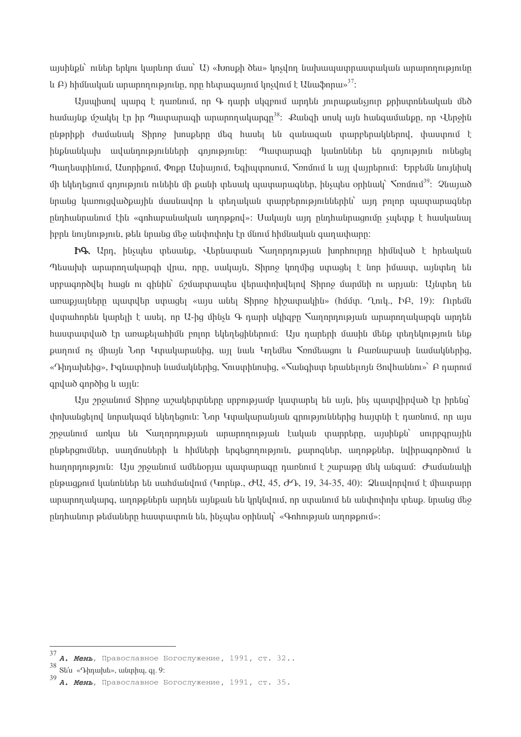այսինքն` ուներ երկու կարևոր մաս` U) «Խոսքի ծես» կոչվող նախապատրաստական արարողությունը  $\mu$  A) hhutuuluutu ununnnnumuntun, nnn hannuquunut linsilniut t Utuu Sinnuit 37:

hամայնք մշակել էր իր Պատարագի արարողակարգը<sup>38</sup>: Քանզի սոսկ այն հանգամանքը, որ Վերջին ընթրիքի ժամանակ Shnnջ խոսքերը մեզ հասել են զանացան տարբերակներով, փաստում է ինքնանկախ ավանդությունների գոյությունը։ Պատարագի կանոններ են գոյություն ունեցել Պաղեստինում, Ասորիքում, Փոքր Ասիայում, Եգիպտոսում, Տոոմում և այլ վայրերում։ Երբեմն նույնիսկ մի եկեղեցում գոյություն ունեին մի քանի տեսակ պատարագներ, ինչպես օրինակ`  $\zeta$ ումում $^{39}$ : Չնայած նրանց կառուցվածքային մասնավոր և տեղական տարբերություններին` այդ բոլոր պատարագներ ընդհանրանում էին «գոհաբանական աղոթքով»: Մակայն այդ ընդհանրագումը չպետք է հասկանալ իբրև նույնություն, թեև նրանց մեջ անփոփոխ էր մնում հիմնական գաղափարը։

**Ing.** Unn, husultu matuulup, Utanuunuulu Kunnnnnnnanuulu hunnhninnn hhululuud t hntauluulu Պեսախի արարողակարգի վրա, որը, սակայն, Տիրոջ կողմից ստացել է նոր իմաստ, այնտեղ են uppwgnpdylty hwqu ni qhuhu 62 umpywwytu ytpwynhyltyny Shpne uwpuu ni wpjwu: Ujuyty tu առաքյալները պատվեր ստացել «այս անել Sիրոջ հիշատակին» (հմմտ. Ղուկ., ԻԲ, 19): Ուրեմն վստահորեն կարելի է ասել, որ Ա-ից մինչև Գ դարի սկիզբը  $\zeta$ ադորդության արարողակարգն արդեն հաստատված էր առաքելահիմն բոլոր եկեղեցիներում։ Այս դարերի մասին մենք տեղեկություն ենք քաղում ոչ միայն Նոր Կտակարանից, այլ նաև Կղեմես Տռոմեացու և Բառնաբասի նամակներից, «Դիդախեից», Իգնատիոսի նամակներից, Տուստինոսից, «Տանգիստ երանելողն Յովհաննու»՝ Բ դարում qnyu qnndhq u unuti:

Այս շրջանում Տիրոջ աշակերտները սրբությամբ կատարել են այն, ինչ պատվիրված էր իրենց` փոխանցելով նորակացմ եկեղեցուն։ Նոր Կտակարանյան ցրություններից հայտնի է դառնում, որ այս շրջանում առկա են Տաղորդության արարողության էական տարրերը, այսինքն` սուրբգրային ընթերցումներ, սաղմոսների և հիմների երգեցողություն, քարոզներ, աղոթքներ, նվիրագործում և hunnnnnnpmli: Uu  $p$ pyuutmut uuttutonuu uuununuuqn nuntmut t  $p$ ununpp uttu uutquut: Juutuutuuth phpugpnu humuh th unhumuh (4nphp.,  $\partial U$ , 45,  $\partial \Omega$ , 19, 34-35, 40):  $\partial$ unuh pulnuh t uhumun արարողակարգ, աղոթթներն արդեն այնթան են կրկնվում, որ ստանում են անփոփոխ տեսթ. նրանց մեջ  $p$ նդհանուր թեմաները հաստատուն են, ինչպես օրինակ` «Գոհության աղոթքում»:

<sup>37</sup> **А. Мень**, Православное Богослужение, 1991, ст. 32..

<sup>38</sup> Stru «Դիդախե», անտիպ, q. 9:

 $39$  A. Мень, Православное Богослужение, 1991, ст. 35.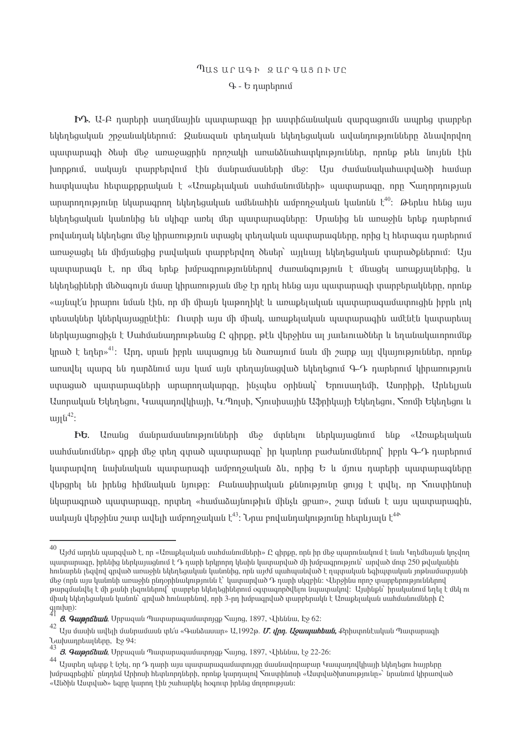# Tusuruah gurausnhum  $9 - b$  numbanu

 $\mathbf{h}$ , U-A դարերի սաղմնային պատարագը իր աստիճանական զարգացումն ապրեց տարբեր եկեղեցական շրջանակներում։ Ձանացան տեղական եկեղեցական ավանդությունները ձևավորվող այատարագի ծեսի մեջ առաջացրին որոշակի առանձնահատկություններ, որոնք թեև նույնն էին խորքում, սակայն տարբերվում էին մանրամասների մեջ։ Այս ժամանակահատվածի համար hատկապես հետաքրքրական է «Առաքելական սահմանումների» պատարագը, որը հաղորդության արարողությունը նկարագրող եկեղեցական ամենահին ամբողջական կանոնն  $\zeta^{40}$ : Թերևս հենց այս եկերեցական կանոնից են սկիցը առել մեր ապտարագները։ Մոանից են առաջին երեք դարերում բովանդակ եկեղեցու մեջ կիրառություն ստացել տեղական պատարագները, որից էլ հետագա դարերում առաջացել են միմյանցից բավական տարբերվող ծեսեր` այլևայլ եկեղեցական տարածքներում։ Այս այատարագն է, որ մեց երեք խմբագրություններով ժառանգություն է մնացել առաքյայներից, և եկեղեցիների մեծագույն մասը կիրառության մեջ էր դրել հենց այս պատարագի տարբերակները, որոնք «այնաէ՛ս իրարու նման էին, որ մի միայն կաթողիկէ և առաբելական պատարագամատուցին իբրև լոկ տեսակներ կներկայացրնէին։ Ուստի այս մի միակ, առաքելական պատարագին ամէնէն կատարեալ ներկայացուցիչն է Մահմանադրութեանց Ը գիրթը, թէև վերջինս այ յաւեւուածներ և եղանակաւորումնք  $l$ տած է եղեր»<sup>41</sup>: Unn, սոան իբրև ապագույց են ծառայում նաև մի շարք այլ վկայություններ, որոնք առավել պարզ են դարձնում այս կամ այն տեղայնացված եկեղեցում Գ-Դ դարերում կիրառություն ստացած պատարագների արարողակարգը, ինչպես օրինակ` Երուսաղեմի, Ասորիքի, Արևելյան Ասորական Եկեղեցու, Կապադովկիայի, Կ.Պոլսի, Տյուսիսային Աֆրիկայի Եկեղեցու, Տոոմի Եկեղեցու և  $u_{11}$  $\bar{u}^{42}$ :

 $Pb$ , Առանց մանրամասնությունների մեջ մտնելու ներկայացնում ենք «Առաքելական uաhմանումներ» գոբի մեջ տեղ գտած պատարագը` իր կարևոր բաժանումներով` իբրև Գ-Դ դարերում կատարվող նախնական պատարագի ամբողջական ձև, որից Ե և մյուս դարերի պատարագները վերցրել են իրենց հիմնական նյութը։ Բանասիրական քննությունը ցույց է տվել, որ հուստինոսի նկարագրած պատարագը, որտեղ «համաձայնութիւն մինչև ցբառ», շատ նման է այս պատարագին, սակայն վերջինս շատ ավելի ամբողջական է $^{43}$ : Նրա բովանդակությունը հետևյայն է $^{44}$ 

 $^{40}$  Այժմ արդեն պարզված է, որ «Առաքելական սահմանումների» Ը գիրքը, որն իր մեջ պարունակում է նաև Կղեմեսյան կոչվող ապտարացը, իրենից ներկայացնում է Դ ոպրի երկրորդ կեսին կատարված մի խմբացորւթյուն` արված մոտ 250 թվականին հունադեն լեզվով զոված առաջին եկերեցական կանոնից, որն այժմ ապիսանված է դատական եցիատական լոթնամատյանի մեջ (որն այս կանոնի առաջին ընդօրինակությունն է՝ կատարված Դ դարի սկզբին։ Վերջինս որոշ տարբերություններով թարգմանվել է մի բանի լեզուներով` տարբեր եկեղեցիներում օգտագործվելու նպատակով։ Այսինքն` իրականում եղել է մեկ ու միակ եկեղեցական կանոն` գրված հունարենով, որի 3-րդ խմբագրված տարբերակն է Առաքելական սահմանումների Ը  $\lim_{41}$  hup:

 $\beta$ . Quinna Chulu Unpugulu Tuununuguu wunning Suing, 1897, Uhtuu Louis 62:

<sup>42</sup> Այս մասին ավելի մանրամասն տե՛ս «Գանձասար» Ա,1992թ. *Մ. վրդ. Աջապահեան,* Քրիստոնէական Պատարագի Lumunntunutunn, Lo 94:

<sup>43&</sup>lt;br>**8. Գաթըճեան**, Սրբազան Պատարազամատույցք <mark>Տայոց, 1897, Վիեննա, էջ 22-26</mark>։

<sup>44&</sup>lt;br>Ալստեղ պետք է նշել, որ Դ դարի այս պատարագամատույցը մասնավորաբար Կապադովկիայի եկեղեցու հայրերը խմբագրեցին` ընդդեմ Արիոսի հետևորդների, որոնք կարդալով Տուստինոսի «Աստվածխոսությունը»` նրանում կիրառված «Անծին Աստված» եզրը կարող էին շահարկել հօգուտ իրենց մոլորության։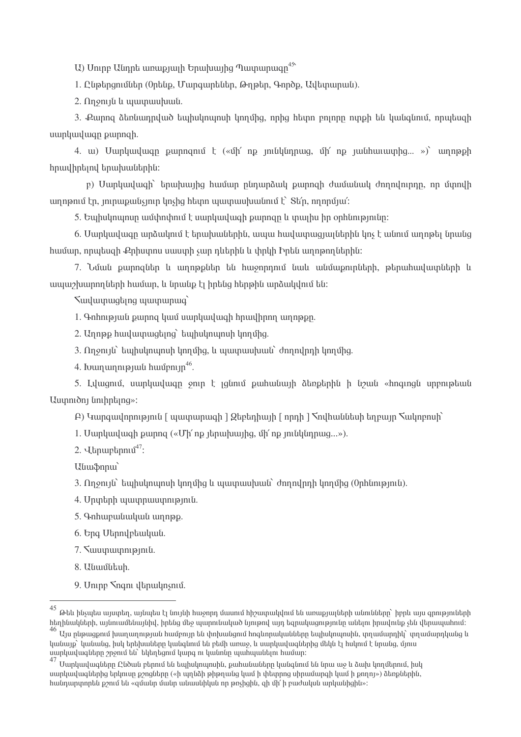U) Unipp Ulinph winwipility bought bulling nununung 45

1. Ընթերցումներ (Օրենք, Մարգարեներ, Թղթեր, Գործք, Ավետարան).

 $2.$   $\Omega$ n $\varphi$ nı $\varphi$ lı tu yuyuyuyuyu

3. Քարոզ ձեռնադրված եպիսկոպոսի կողմից, որից հետո բոլորը ոտքի են կանգնում, որպեսզի uwnywy pwnngh.

4. u) Uunhuuluugn punngnui t («ih' np muhhinnug, ih' np juuhuuluunhg... ») unnpph հրավիրելով երախաներին:

p) Uunluuluugh touuhuujha huufun ninunaulu punnah duufuufuulu donnulninna, np funnulh  $u$ nnanın  $\ln$ , minimpulisinin  $\ln$ shq htim iyuyuun himili  $\int$  Strn, minimpuli  $\ln$ 

5. Եպիսկոպոսը ամփոփում է սարկավագի քարոցը և տալիս իր օրինությունը:

6. Uumluuluuan umaulmu t tmuhuulitmhli, uuuu huuluunuunuulitmhli lins t uulmu ummatu linuulia համար, որպեսզի Քրիստոս սաստի չար դևերին և փրկի Իրեն աղոթողներին:

7. Նման բարոցներ և աղոթքներ են հաջորդում նաև անմաբուրների, թերահավատների և ապաշխարողների համար, և նրանք էլ իրենց հերթին արձակվում են:

Suuluunuuqting uuununuuq

1. Onhnipiwu punng yuu uunyuu wah huu unnippin.

2. Unnap huuluunuuqting tuuhuluunuh linnuhq.

3. Ononuli tuuhulununuh linnungi, lu uuunuu kuuli dinnunn linnungi

4. Ivun un ni puut huu un ni n<sup>46</sup>.

5. Lylugniu, uwplywywgp 9nip 1; jguniu pwhwuwijh dtnptinhu h tizuit «hnaingti unpnintiwu Uuunnon unhnung»:

 $\beta$ ) Կարգավորություն [ պատարագի ] Ձեբեդիայի [ որդի ]  $\zeta$ ովհաննեսի եղբայր  $\zeta$ ակոբոսի

1. Uwnywy wah pwnna («Uh' np | tinwhwing, uh' np | mulitunnug...»).

2.  $\mathbf{I}$  linum linum  $\mathbf{I}^{47}$ :

Uluu3nnu

3. Ողջույն` եպիսկոպոսի կողմից և պատասխան` ժողովրդի կողմից (Օրինություն).

4. Unutinh www.nww.mip.mu

- 5. Գոհաբանական աղոթք.
- 6. Ung Utanulptauluut.
- 7. Swuyuuunipiniu.

8. Uluuuutuh.

9. Uninp Snqni ibnulunsniu.

 $^{45}$  Թեև ինչպես այստեղ, այնպես էլ նույնի հաջորդ մասում հիշատակվում են առաքյալների անունները` իբրև այս գրություների հեղինակների, այնուամենայնիվ, իրենց մեջ պարունակած նյութով այդ եզրակացությունը անելու իրավունք չեն վերապահում։

<sup>46&</sup>lt;br>Այս ոնթագթում խաղաղության համբույր են փոխանցում հոգևորականները եպիսկոպոսին, տղամարդիկ` տղամարդկանց և կանայք` կանանց, իսկ երեխաները կանգնում են բեմի առաջ, և սարկավագներից մեկն էլ հսկում է նրանց, մյուս սարկավագները շրջում են` եկեղեցում կարգ ու կանոնը պահպանելու համար։

<sup>47&</sup>lt;br>Մաոկավագնեող Ընծան բերում են եպիսկոպոսին, քահանաները կանգնում են նրա աջ և ձախ կողմերում, իսկ սարկավագներից երկուսը քշոցները («ի պղնձի թիթղանց կամ ի փետրոց սիրամարգի կամ ի քողոլ») ձեռքներին, hանդարտորեն քշում են «զմանը մանը անասնիկսն որ թռչիցին, զի մի՛ ի բաժակսն արկանիցին»։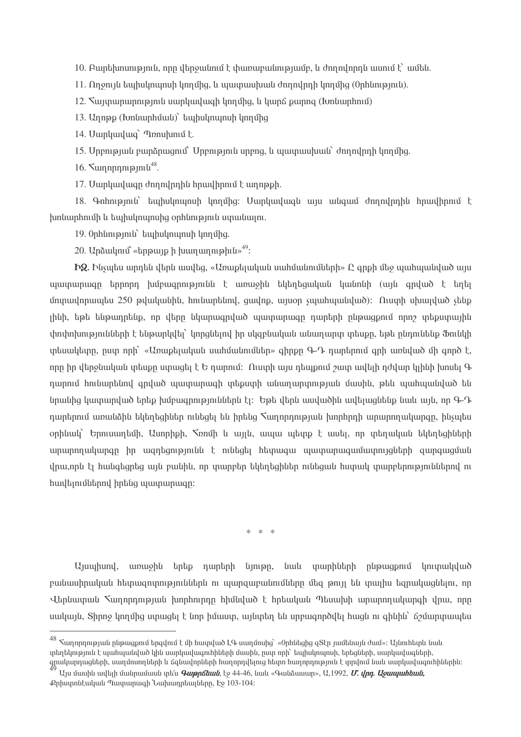10. Auntipununipini, npp ytinguitini t thununutunipiuiti, li dinnynpit uunit t uutit.

 $11.$  Ողջույն եպիսկոպոսի կողմից, և պատասխան ժողովրդի կողմից (Օրինություն).

12. Suyunununnun yali umungung dan dan dan kanalar dan hasa (Ibnung dan dan 12.

13. Unnap (Ivnuuphuuu) tupuluununuh lunung

14. Uwnywywg` Innuhunu t.

15. Unpni piu pungnugni unpni pinu unpng, u uju unu huli dan ni pin linnung

16.  $\sum$  munning  $\ln \frac{1}{8}$ .

17. Uwnywywgn dnnnynnhu hnwyhnni t wnnpph.

18. Գոհություն` եպիսկոպոսի կողմից։ Մարկավագն այս անգամ ժողովրդին հրավիրում է խոնարհումի և եպիսկոպոսից օրինություն ստանալու.

19. Onhunipiniu tupulununuh linnung.

20. Upaulunu vulpung h huununnuphu  $\frac{4^9}{5}$ :

 $EQ$ , Musultu արդեն վերն ասվեզ, «Առաքելական սահմանումների»  $\Omega$  qnph մեջ պահպանված այս այատարագը երրորդ խմբագրությունն է առաջին եկեղեցական կանոնի (այն գրված է եղել մոտավորապես 250 թվականին, hունարենով, ցավոք, այսօր չպահպանված): Ուստի սխալված չենք լինի, եթե ենթադրենք, որ վերը նկարագրված պատարագը դարերի ընթացքում որոշ տեքստային փոփոխությունների է ենթարկվել` կորգնելով իր սկզբնական անադարտ տեսբը, եթե ընդունենք Ֆունկի intinululunn, nuin nnh «Uniuptijulululu uuhululinulutin» ahnpn 9-7 nuntinnul anh uintiluid uh annd t. որը իր վերջնական տեսքը ստացել է Ե դարում։ Ուստի այս դեպքում շատ ավելի դժվար կլինի խոսել Գ դարում հունարենով գոված պատարագի տեքստի անադարտության մասին, թեև պահպանված են նոանից կատարված երեք խմբացողյթյուններն էլ։ Եթե վերն ասվածին ավելացնենք նաև այն, որ Գ-Դ դարերում առանձին եկեղեցիներ ունեցել են իրենց Տաղորդության խորիրդի արարողակարգը, ինչպես օրինակ` Երուսաղեմի, Ասորիքի, Տռոմի և այլն, ապա պետք է ասել, որ տեղական եկեղեցիների umunnnuluunan hn wantanyomuu tunutatu htunuaw wuynunuawuwunnyalitah qunququulu վրա,որն էլ հանգեցրեց այն բանին, որ տարբեր եկեղեցիներ ունեցան հստակ տարբերություններով ու հավելումներով իրենց պատարագը։

 $* * *$ 

Այսպիսով, առաջին երեք դարերի նյութը, նաև տարիների ընթագքում կուտակված բանասիրական հետացոտություններն ու պարցաբանումները մեց թույլ են տայիս եցրակացնելու, որ Վերնատան Տաղորդության խորհուրդը հիմնված է հրեական Պեսախի արարողակարգի վրա, որը սակայն, Տիրոջ կողմից ստացել է նոր իմաստ, այնտեղ են սրբացործվել հացն ու ցինին` ճշմարտապես

 $^{48}$  Հաղորդության ընթացքում երգվում է մի հատված ԼԳ սաղմոսից` «Օրհնեցից զՏէր յամենայն ժամ»։ Այնուհետև նաև տեղեկություն է պահպանված կին սարկավագուհիների մասին, ըստ որի` եպիսկոպոսի, երեցների, սարկավագների, 

Այս մասին ավելի մանրամասն տե՛ս *Գաթըճեան*, էջ 44-46, նաև «Գանձասար», Ա,1992, *Մ. վրդ. Աջապահեան,* Քրիստոնէական Պատարագի Նախադրեայները, Էջ 103-104: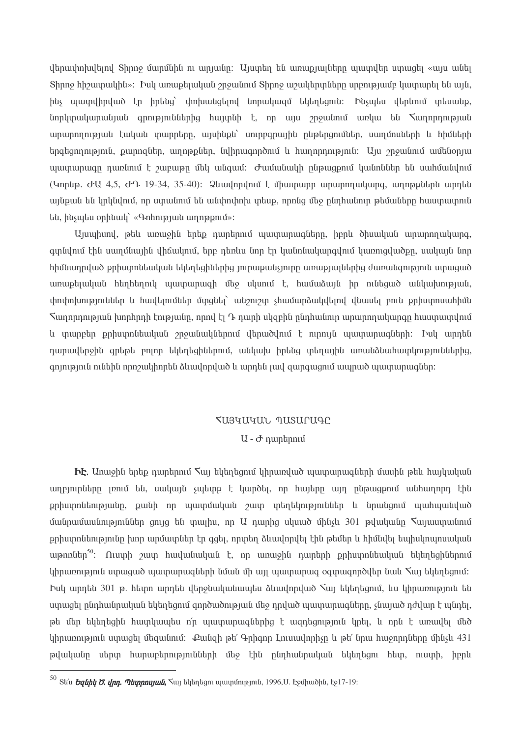վերափոխվելով Shnn9 մարմնին ու արյանը։ Այստեղ են առաքյալները պատվեր ստացել «այս անել Shnno hhowynulhu»: Իսկ առաբելական շրջանում Shnno աշակերտները սրբությամբ կատարել են այն, ինչ այստվիրված էր իրենց` փոխանցելով նորակացմ եկեղեցուն։ Ինչպես վերևում տեսանք, նորկտակարանյան գրություններից հայտնի է, որ այս շրջանում առկա են հաղորդության արարողության էական տարրերը, այսինքն` սուրբգրային ընթերցումներ, սաղմոսների և հիմների երգեցողություն, բարոցներ, աղոթքներ, նվիրագործում և հաղորդություն։ Այս շրջանում ամենօրյա պատարագը դառնում է շաբաթը մեկ անգամ։ Ժամանակի ընթացքում կանոններ են սահմանվում (Կորնթ. ԺԱ 4,5, ԺԴ 19-34, 35-40): Ձևավորվում է միատարը արարողակարգ, աղոթքներն արդեն այնքան են կրկնվում, որ ստանում են անփոփոխ տեսք, որոնց մեջ ընդհանուր թեմաները հաստատուն են, ինչպես օրինակ` «Գոհության աղոթթում»:

Այսպիսով, թեև առաջին երեք դարերում պատարագները, իբրև ծիսական արարողակարգ, գտնվում էին սաղմնային վիճակում, երբ դեռևս նոր էր կանոնակարգվում կառուցվածքը, սակայն նոր իիմնադրված թրիստոնեական եկեղեցիներից յուրաբանչյուրը առաթյալներից ժառանգություն ստացած առաքելական հեղհեղուկ պատարագի մեջ սկսում է, համաձայն իր ունեցած անկախության, փոփոխություններ և հավելումներ մտցնել` անշուշտ չհամարձակվելով վնասել բուն քրիստոսահիմն  $\mathcal{S}$ աղորդության խորհրդի էությանը, որով էլ Դ դարի սկզբին ընդհանուր արարողակարգը հաստատվում և տարբեր քրիստոնեական շրջանակներում վերածվում է ուրույն պատարագների։ Իսկ արդեն դարավերջին գրեթե բոլոր եկեղեցիներում, անկախ իրենց տեղային առանձնահատկություններից, գոյություն ունեին որոշակիորեն ձևավորված և արդեն լավ զարգացում ապրած պատարագներ։

## TUSYUYUL MUSUCUAC

## $U - \sigma$  nuntinnu

**bt**. Unuishu tiptip nuintipinu Suij tilitintigniu yhpuinyluo ujuupuipuigutiph uuuhu ptu huijuuluuti աղբյուրները լռում են, սակայն չպետք է կարծել, որ հայերը այդ ընթացքում անհաղորդ էին քրիստոնեությանը, քանի որ պատմական շատ տեղեկություններ և նրանցում պահպանված մանրամասնություններ ցույց են տալիս, որ Ա դարից սկսած մինչև 301 թվականը հայաստանում քրիստոնեությունը խոր արմատներ էր գցել, որտեղ ձևավորվել էին թեմեր և հիմնվել եպիսկոպոսական աթոռներ<sup>50</sup>։ Ուստի շատ հավանական է, որ առաջին դարերի քրիստոնեական եկեղեցիներում կիրառություն ստացած պատարագների նման մի այլ պատարագ օգտագործվեր նաև Տալ եկեղեցում։ bul unntu 301 p. httpn unntu yltpoituluutuutuu aluutoutud Sun tyttptgnu, lu yhpunnypinu tu ստացել ընդհանըական եկեղեցում գործածության մեջ դրված պատարագները, չնայած դժվար է պնդել, թե մեր եկեղեցին հատկապես ո՛ր պատարազներից է ացդեցություն կրել, և որն է առավել մեծ lihnuinni pintu umuiqti ütiquitiniut: Puitigh ptr Onhann Linuiuulnnh in ptr tinui huionnnuttinn ühtisti 431 թվականը սերտ հարաբերությունների մեջ էին ընդհանրական եկեղեցու հետ, ուստի, իբրև

<sup>&</sup>lt;sup>50</sup> Տե՛ս *Եզնիկ Ծ. վրդ. Պետրոսյան,* ৲այ եկեղեցու պատմություն, 1996,U. Էջմիածին, էջ17-19։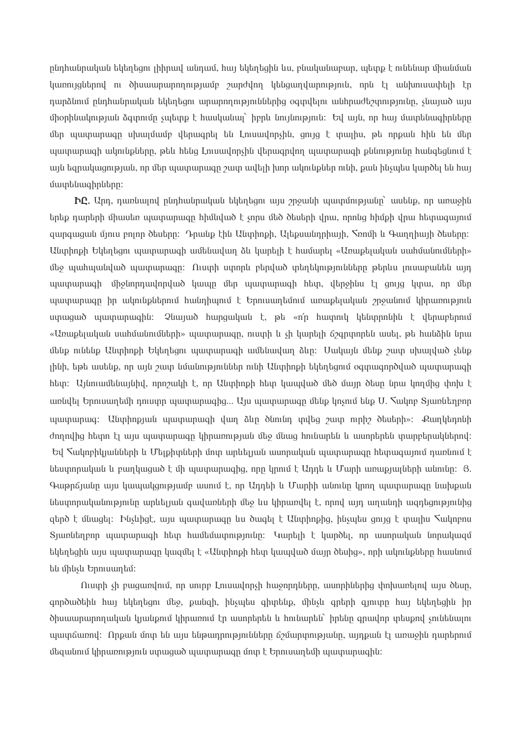ընդհանրական եկեղեցու լիիրավ անդամ, հայ եկեղեցին ևս, բնականաբար, պետք է ունենար միանման կառույցներով ու ծիսաարարողությամբ շարժվող կենցաղվարություն, որն էլ անխուսափելի էր ոստձնում ընդհանրական եկեղեցու արարողություններից օգտվելու անհրաժեշտությունը, չնայած այս միօրինակության ձգտումը չպետք է հասկանալ` իբրև նույնություն։ Եվ այն, որ հայ մատենագիրները մեր պատարագը սխայմամբ վերագրել են Լուսավորչին, ցույց է տալիս, թե որքան հին են մեր պատարագի ակունքները, թեև հենց Լուսավորչին վերագրվող պատարագի քննությունը հանգեցնում է այն եզրակացության, որ մեր պատարագը շատ ավելի խոր ակունքներ ունի, քան ինչպես կարծել են հայ մատենագիրները։

 $\mathbf{h}$ , Upn, դառնալով ընդհանրական եկեղեցու այս շրջանի պատմությանը` ասենք, որ առաջին երեք դարերի միասեռ պատարագը հիմնված է չորս մեծ ծեսերի վրա, որոնց հիմքի վրա հետագայում զարգացան մյուս բոլոր ծեսերը։ Դրանք էին Անտիոքի, Ալեքսանդրիայի, Տոոմի և Գաղդիայի ծեսերը։ Անտիոքի Եկեղեցու պատարագի ամենավաղ ձև կարելի է համարել «Առաքելական սահմանումների» մեջ պահպանված պատարագը։ Ուստի ստորև բերված տեղեկությունները թերևս լուսաբանեն այդ պատարագի միջնորդավորված կապը մեր պատարագի հետ, վերջինս էլ ցույց կտա, որ մեր պատարագը իր ակունքներում հանդիպում է Երուսադեմում առաքելական շրջանում կիրառություն ստացած պատարագին։ Չնայած հարցական է, թե «ո՛ր հատուկ կենտրոնին է վերաբերում «Առաքելական սահմանումների» պատարագը, ուստի և չի կարելի ճշգրտորեն ասել, թե հանձին նրա մենք ունենք Անտիոքի Եկեղեցու պատարագի ամենավաղ ձևը։ Սակայն մենք շատ սխայված չենք լինի, եթե ասենք, որ այն շատ նմանություններ ունի Անտիոքի եկեղեցում օգտագործված պատարագի հետ: Այնուամենայնիվ, որոշակի է, որ Անտիրքի հետ կապված մեծ մայր ծեսը նրա կողմից փոխ է առնվել Երուսաղեմի դուստր պատարագից... Այս պատարագը մենք կոչում ենք U. Տակոբ Տյառնեղբոր պատարագ։ Անտիոքյան պատարագի վաղ ձևը ծնունդ տվեց շատ ուրիշ ծեսերի»։ Քաղկեդոնի ժողովից հետո էլ այս պատարագը կիրառության մեջ մնաց հունարեն և ասորերեն տարբերակներով։ Եվ Տակոբիկյանների և Մելքիտների մոտ արևելյան ասորական պատարագը հետագայում դառնում է նեստորական և բաղկացած է մի պատարագից, որը կրում է Ադդե և Մարի առաքյալների անունը։ Յ. Գաթըճյանը այս կապակցությամբ ասում է, որ Աղդեի և Մարիի անունը կրող պատարագը նախքան նեստորականությունը արևելյան գավառների մեջ ևս կիրառվել է, որով այդ աղանդի ազդեցությունից զերծ է մնացել։ Ինչևիցէ, այս պատարագը ևս ծագել է Անտիոքից, ինչպես ցույց է տալիս հակոբոս Տյառնեղբոր պատարագի հետ համեմատությունը։ Կարելի է կարծել, որ ասորական նորակազմ եկեղեցին այս պատարագը կազմել է «Անտիոքի հետ կապված մայր ծեսից», որի ակունքները հասնում են մինչև Երուսաղեմ:

Quuph sh pugumulnu, nn uning Lniuuulnnsh huisnnnutinn, uunnhutinhq ihn huimtinul uiju dtiun, գործածեին հայ եկեղեցու մեջ, քանզի, ինչպես գիտենք, մինչև գրերի գյուտը հայ եկեղեցին իր ծիսաարարողական կյանքում կիրառում էր ասորերեն և հունարեն` իրենը զրավոր տեսքով չունենայու պատճառով: Որքան մոտ են այս ենթադրությունները ճշմարտությանը, այդքան էլ առաջին դարերում մեզանում կիրառություն ստացած պատարագը մոտ է Երուսաղեմի պատարագին։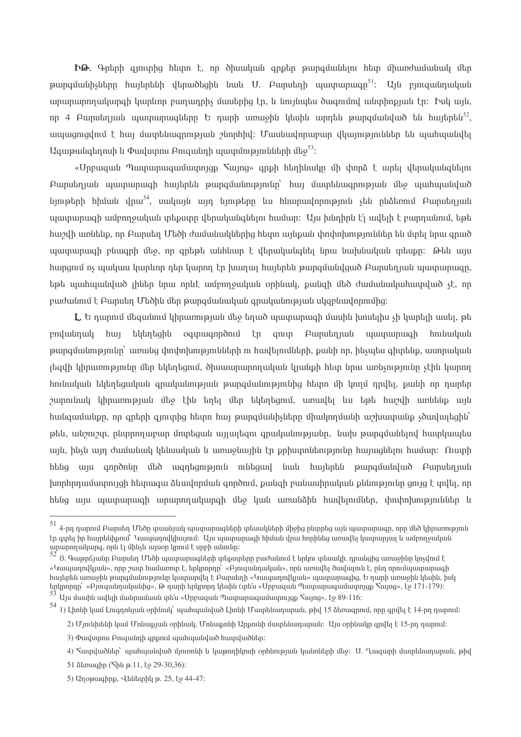ha. Գրերի գյուտից հետո է, որ ծիսական գրքեր թարգմանելու հետ միառժամանակ մեր թարգմանիչները հայերենի վերածեցին նաև U. Բարսեղի պատարագը $^{51}$ ։ Այն բյուցանդական արարարողակարցի կարևոր բաղադրիչ մասերից էր, և նույնաես ծացումով անտիոքյան էր: Իսկ այն, որ 4 Բարսեղյան պատարագները Ե դարի առաջին կեսին արդեն թարգմանված են հայերեն<sup>52</sup>, ապագուցվում է հայ մատենագրության շնորհիվ։ Մասնավորաբար վկայություններ են պահպանվել Ազաթանգեղոսի և Փավստոս Բուցանդի պատմությունների մեջ $^{53}$ :

«Մրբազան Պատարագամատոյցք Տայոց» գրքի հեղինակը մի փորձ է արել վերականգնելու Բարսեղյան պատարագի հայերեն թարգմանությունը` հայ մատենագրության մեջ պահպանված նյութերի հիման վրա $^{54}$ , սակայն այդ նյութերը ևս հնարավորություն չեն ընձեռում Բարսեղյան պատարագի ամբողջական տեքստը վերականգնելու համար։ Այս խնդիրն է՛լ ավելի է բարդանում, եթե hui 20 hui 20 hui 20 hui 20 hui 20 hui 20 hui 20 hui 20 hui 20 hui 20 hui 20 hui 20 hui 20 hui 20 hui 20 hui 2 պատարագի բնագրի մեջ, որ գրեթե անհնար է վերականգնել նրա նախնական տեսքը։ Թեև այս հարցում ոչ պակաս կարևոր դեր կարող էր խաղալ հայերեն թարգմանվցած Բարսեղյան պատարագը, եթե պահպանված լիներ նրա որևէ ամբողջական օրինակ, բանզի մեծ ժամանակահատված չէ, որ բաժանում է Բարսեղ Մեծին մեր թարգմանական գրականության սկզբնավորումից:

 $\mathbf{I}_n$ , Ե դարում մեզանում կիրառության մեջ եղած պատարագի մասին խոսելիս չի կարելի ասել, թե եկերեցին օգտացործում էր ցուտ Բարսերյան ապտարացի հունական pndudnud hun թարգմանությունը` առանց փոփոխությունների ու հավելումների, բանի որ, ինչպես գիտենք, ասորական լեզվի կիրառությունը մեր եկեղեցում, ծիսաարարողական կյանքի հետ նրա առնչությունը չէին կարող hունական եկեղեցական գրականության թարգմանությունից հետո մի կողմ դրվել, բանի որ դարեր շարունակ կիրառության մեջ էին եղել մեր եկեղեցում, առավել ևս եթե հաշվի առնենք այն huu uu uu quba qayda qayda hayaa hay madaala qayda dhuu qayda qobbay oo qayda haybay haybay ka huu qayda qayba թեև, անշուշտ, ընտրողաբար մոտեցան այլայեցու գրականությանը, նախ թարգմանելով հատկապես այն, ինչն այդ ժամանակ կենսական և առաջնային էր քրիստոնեությունը հայացնելու համար։ Ուստի հենց այս գործոնը մեծ ազդեցություն ունեցավ նաև հայերեն թարգմանված Բարսեդյան խորիրդամատույցի հետագա ձևավորման գործում, քանցի բանասիրական քննությունը ցույց է տվել, որ հենց այս պատարագի արարողակարգի մեջ կան առանձին հավելումներ, փոփոխություններ և

 $^{51}$  4-ոդ դարում Բարսեդ Մեծը տասնյակ պատարագների տեսակների միջից ընտրեց այն պատարագը, որը մեծ կիրառություն էր գտել իր հայրենիքում` Կապադովկիայում։ Այս պատարագի հիման վրա հորինեց առավել կատարյալ և ամբողջական արարողակարգ, որն էլ մինչև այսօր կրում է սրբի անունը։

<sup>52&</sup>lt;br>8. Գաթըճյանը Բարսեղ Մեծի պատարագների տեքստերը բաժանում է երկու տեսակի. դրանցից առաջինը կոչվում է «Կապադովկյան», որը շատ համառոտ է, երկրորդը` «Բյուզանդական», որն առավել ծավալուն է, ընդ որումպատարագի hայերեն առաջին թարգմանությունը կատարվել է Բարսեղի «Կապադովկյան» պատարագից, Ե դարի առաջին կեսին, իսկ երկրորդը` «Բյուզանդականից», Թ դարի երկրորդ կեսին (տե՛ս «Մրբազան Պատարազամատոյցք Տայոց», էջ 171-179)։

Uju մասին ավելի մանրամասն տե՛ս «Սրբազան Պատարագամատույցք Տայոց», էջ 89-116:

<sup>54&</sup>lt;br>1) Լիոնի կամ Լուգդոնյան օրինակ` պահպանված Լիոնի Մատենադարան, թիվ 15 ձեռագրում, որը գրվել է 14-րդ դարում։

<sup>2)</sup> Մյունխենի կամ Մոնաքյան օրինակ, Մոնաքոնի Արքունի մատենադարան։ Այս օրինակը գրվել է 15-րդ դարում։

<sup>3)</sup> Փավստոս Բուցանդի գրքում պահպանված հատվածներ:

<sup>4)</sup> Տաւրվածներ` պահպանված մյուռոնի և կաթողիկոսի օրհնության կանոների մեջ: U. Ղազարի մատենադարան, թիվ

<sup>51</sup> ձեռագիր (*Shu p.11*, էջ 29-30,36):

<sup>5)</sup> Աղօթագիրք, Վենետիկ թ. 25, էջ 44-47: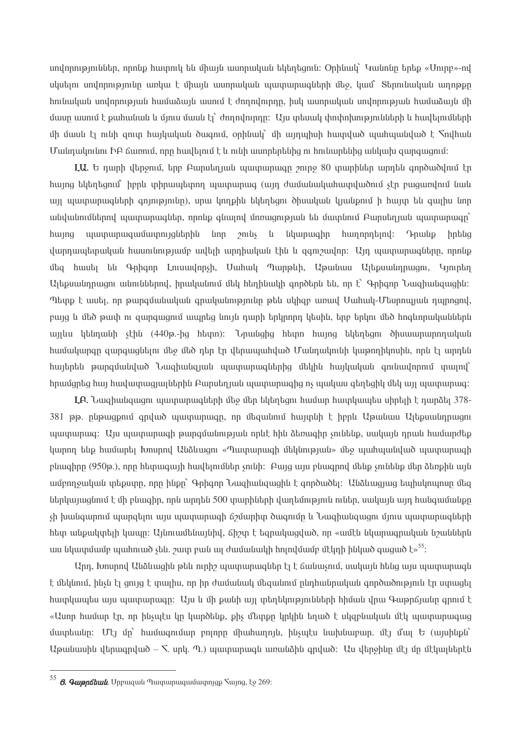unվnրnւթյուններ, որոնք հատուկ են միայն ասորական եկեղեցուն։ Օրինակ` Կանոնը երեք «Սուրբ»-ով սկսելու սովորությունը առկա է միայն ասորական պատարագների մեջ, կամ` Տերունական աղոթթը hnı նական սովորության hամաձայն ասում է ժողովուրդը, իսկ ասորական սովորության hամաձայն մի մասը ասում է քահանան և մյուս մասն էլ` ժողովուրդը։ Այս տեսակ փոփոխությունների և հավելումների մի մասն էլ ունի ցուտ հայկական ծագում, օրինակ՝ մի այդպիսի հատված պահպանված է \nu Մանդակունու ԻԲ ճառում, որը հավելում է և ունի ասորերենից ու հունարենից անկախ զարգացում:

LU. Ե դարի վերջում, երբ Բարսեղյան պատարագը շուրջ 80 տարիներ արդեն գործածվում էր <u>հայոց եկեղեցում` իբրև տիրապետող պատարագ (այդ ժամանակահատվածում չէր բացառվում նաև</u> այլ պատարագների գոյությունը), սրա կողքին եկեղեցու ծիսական կյանքում ի հայտ են գալիս նոր անվանումներով պատարագներ, որոնք գնալով մոռացության են մատնում Բարսեղյան պատարագը` huyng պատարագամատույցներին նոր շունչ և նկարագիր հաղորդելով։ Դրանք իրենց վարդապետական հասունությամբ ավելի արդիական էին և զգուշավոր։ Այդ պատարագները, որոնք մեց հասել են Գրիգոր Լուսավորչի, Մահակ Պարթևի, Աթանաս Ալեբսանդրացու, Կյուրեղ Ալեքսանդրացու անուններով, իրականում մեկ հեղինակի գործերն են, որ է՝ Գրիգոր Նազիանգացին։ Պետք է ասել, որ թարգմանական գրականությունը թեև սկիզբ առավ Մահակ-Մեսրոպյան դպրոցով, բայց և մեծ թափ ու զարգացում ապրեց նույն դարի երկրորդ կեսին, երբ երկու մեծ հոգևորականներն այլևս կենդանի չէին (440թ.-ից հետո)։ Նրանցից հետո հայոց եկեղեցու ծիսաարարողական իամակարգը զարգազնելու մեջ մեծ դեր էր վերապահված Մանդակունի կաթողիկոսին, որն էլ արդեն hայերեն թարգմանված Նազիանզյան պատարագներից մեկին հայկական գունավորում տալով` իրամցրեց իալ հավատացյալներին Բարսեղյան պատարագից ոչ պակաս գեղեցիկ մեկ այլ պատարագ։

**LA.** Նացիանցացու այստարագների մեջ մեր եկերեցու իամար իատկայն սկրելի է ըարձել 378-381 թթ. ընթացքում գրված պատարագը, որ մեցանում հայտնի է իբրև Աթանաս Ալեքսանդրացու պատարագ։ Այս պատարագի թարգմանության որևէ հին ձեռագիր չունենք, սակայն դրան համարժեք կարող ենք համարել Խոսրով Անձևացու «Պատարագի մեկնության» մեջ պահպանված պատարագի pluughnn (950p.), nnn hlunuugunh huullamulitan snilih: Pung unu pluugnnul ultilip snilitilip ultin alapphli unli ամբողջական տեքստը, որը ինքը` Գրիգոր Նազիանզացին է գործածել: Անձևացյաց եպիսկոպոսը մեզ ներկայացնում է մի բնագիր, որն արդեն 500 տարիների վաղեմություն ուներ, սակայն այդ հանգամանքը sh խանգարում պարցելու այս պատարագի ճշմարիտ ծագումը և Նացիանցացու մյուս պատարագների hետ անքակտելի կապը։ Այնուամենայնիվ, ճիշտ է եզրակազված, որ «ամէն նկարագրական նշաններն uu նկատմամբ պահուած չեն. շատ բան ալ ժամանակի հոլովմամբ մէկդի ինկած գացած է»<sup>55</sup>:

Արդ, Խոսրով Անձևացին թեև ուրիշ պատարացներ էլ է ճանաչում, սակայն հենց այս պատարացն է մեկնում, ինչն էլ ցույց է տալիս, որ իր ժամանակ մեզանում ընդհանրական գործածություն էր ստացել հատկապես այս պատարագը։ Այս և մի քանի այլ տեղեկությունների հիման վրա Գաթըճյանը գրում է «Ասոր համար էր, որ ինչպէս կը կարծենք, քիչ մետքը կրկին եղած է սկզբնական մէկ պատարագաց մատեանը։ Մէյ մը՝ համագումար բոլորը միահաղոյն, ինչպէս նախնաբար. մէյ մալ Ե (այսինքն՝ Upuluuuhli iltnuqniluid - S. unli. n.) պատարագն առանձին գրված: Uu վերջինը մէյ մը մէկալներէն

<sup>55</sup>  $\beta$ . Զաթրճեան, Սրբազան Պատարազամատոյցք Տայոց, էջ 269։